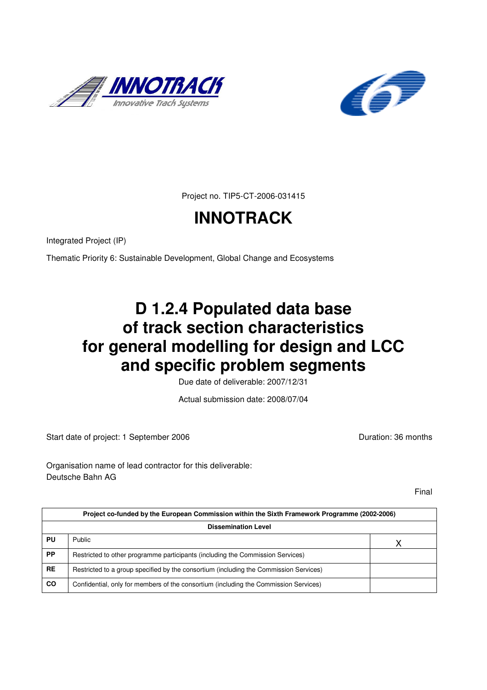



Project no. TIP5-CT-2006-031415

# **INNOTRACK**

Integrated Project (IP)

Thematic Priority 6: Sustainable Development, Global Change and Ecosystems

## **D 1.2.4 Populated data base of track section characteristics for general modelling for design and LCC and specific problem segments**

Due date of deliverable: 2007/12/31

Actual submission date: 2008/07/04

Start date of project: 1 September 2006 **Duration: 36 months** 

Organisation name of lead contractor for this deliverable: Deutsche Bahn AG

Final

|           | Project co-funded by the European Commission within the Sixth Framework Programme (2002-2006) |  |  |  |  |  |  |
|-----------|-----------------------------------------------------------------------------------------------|--|--|--|--|--|--|
|           | <b>Dissemination Level</b>                                                                    |  |  |  |  |  |  |
| PU        | Public                                                                                        |  |  |  |  |  |  |
| <b>PP</b> | Restricted to other programme participants (including the Commission Services)                |  |  |  |  |  |  |
| <b>RE</b> | Restricted to a group specified by the consortium (including the Commission Services)         |  |  |  |  |  |  |
| <b>CO</b> | Confidential, only for members of the consortium (including the Commission Services)          |  |  |  |  |  |  |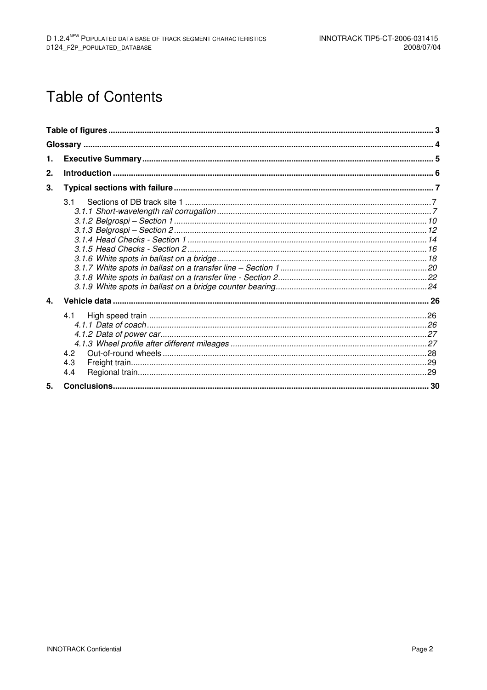## **Table of Contents**

| 1.             |                          |  |
|----------------|--------------------------|--|
| 2.             |                          |  |
| 3.             |                          |  |
|                | 3.1                      |  |
| 4.             |                          |  |
|                | 4.1<br>4.2<br>4.3<br>4.4 |  |
| 5 <sub>1</sub> |                          |  |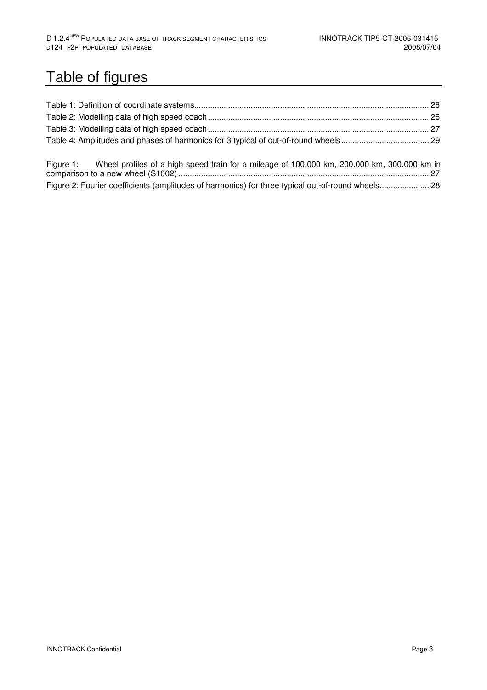## Table of figures

| Figure 1: Wheel profiles of a high speed train for a mileage of 100.000 km, 200.000 km, 300.000 km in |  |
|-------------------------------------------------------------------------------------------------------|--|

Figure 2: Fourier coefficients (amplitudes of harmonics) for three typical out-of-round wheels ...................... 28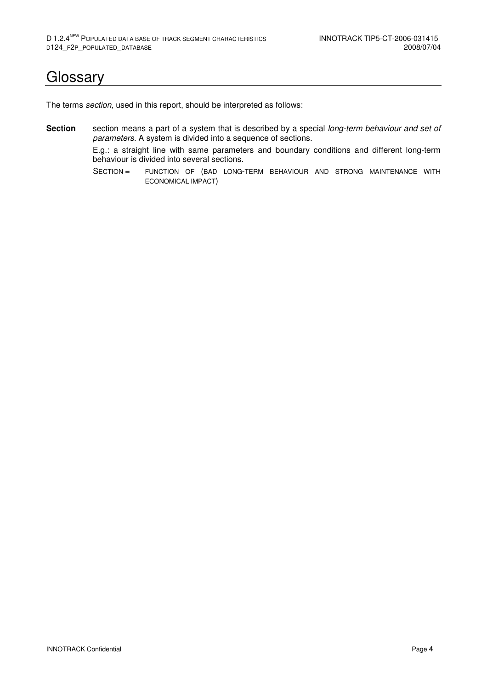## **Glossary**

The terms section, used in this report, should be interpreted as follows:

**Section** section means a part of a system that is described by a special long-term behaviour and set of parameters. A system is divided into a sequence of sections.

> E.g.: a straight line with same parameters and boundary conditions and different long-term behaviour is divided into several sections.

> SECTION = FUNCTION OF (BAD LONG-TERM BEHAVIOUR AND STRONG MAINTENANCE WITH ECONOMICAL IMPACT)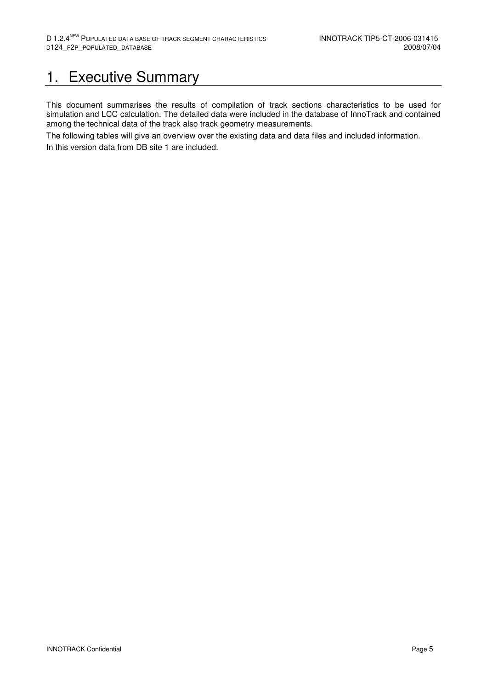## 1. Executive Summary

This document summarises the results of compilation of track sections characteristics to be used for simulation and LCC calculation. The detailed data were included in the database of InnoTrack and contained among the technical data of the track also track geometry measurements.

The following tables will give an overview over the existing data and data files and included information. In this version data from DB site 1 are included.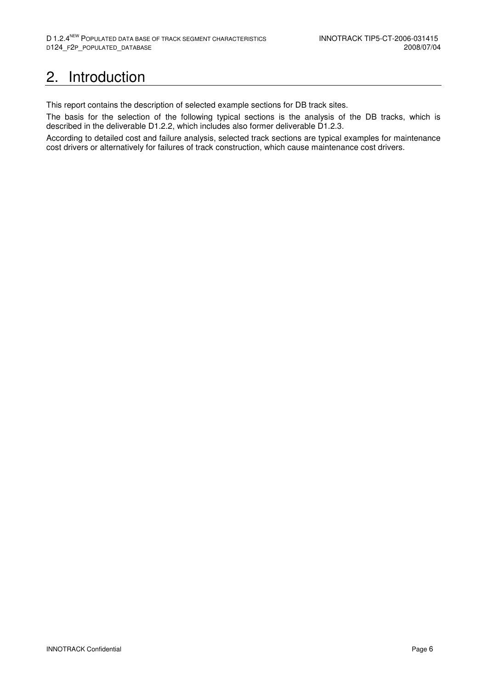## 2. Introduction

This report contains the description of selected example sections for DB track sites.

The basis for the selection of the following typical sections is the analysis of the DB tracks, which is described in the deliverable D1.2.2, which includes also former deliverable D1.2.3.

According to detailed cost and failure analysis, selected track sections are typical examples for maintenance cost drivers or alternatively for failures of track construction, which cause maintenance cost drivers.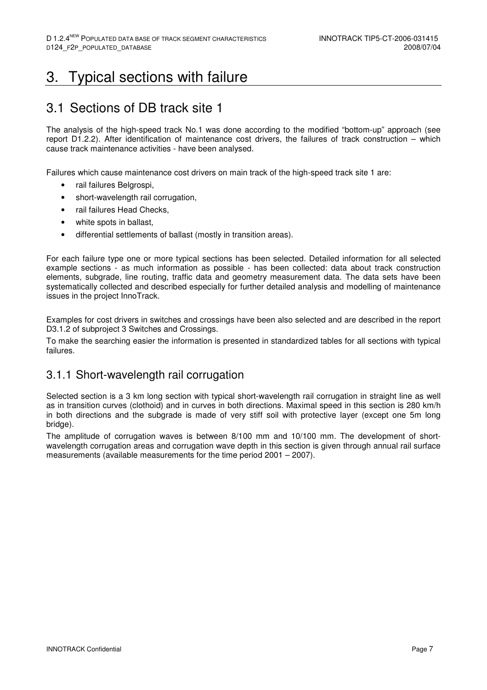## 3. Typical sections with failure

### 3.1 Sections of DB track site 1

The analysis of the high-speed track No.1 was done according to the modified "bottom-up" approach (see report D1.2.2). After identification of maintenance cost drivers, the failures of track construction – which cause track maintenance activities - have been analysed.

Failures which cause maintenance cost drivers on main track of the high-speed track site 1 are:

- rail failures Belgrospi,
- short-wavelength rail corrugation,
- rail failures Head Checks,
- white spots in ballast,
- differential settlements of ballast (mostly in transition areas).

For each failure type one or more typical sections has been selected. Detailed information for all selected example sections - as much information as possible - has been collected: data about track construction elements, subgrade, line routing, traffic data and geometry measurement data. The data sets have been systematically collected and described especially for further detailed analysis and modelling of maintenance issues in the project InnoTrack.

Examples for cost drivers in switches and crossings have been also selected and are described in the report D3.1.2 of subproject 3 Switches and Crossings.

To make the searching easier the information is presented in standardized tables for all sections with typical failures.

#### 3.1.1 Short-wavelength rail corrugation

Selected section is a 3 km long section with typical short-wavelength rail corrugation in straight line as well as in transition curves (clothoid) and in curves in both directions. Maximal speed in this section is 280 km/h in both directions and the subgrade is made of very stiff soil with protective layer (except one 5m long bridge).

The amplitude of corrugation waves is between 8/100 mm and 10/100 mm. The development of shortwavelength corrugation areas and corrugation wave depth in this section is given through annual rail surface measurements (available measurements for the time period 2001 – 2007).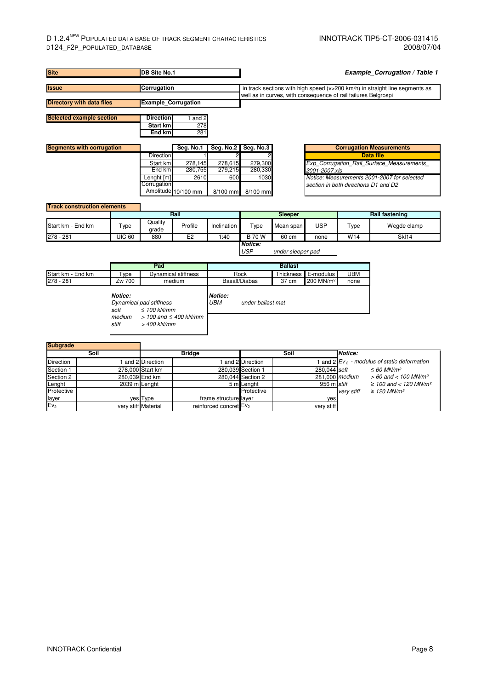#### D 1.2.4<sup>NEW</sup> POPULATED DATA BASE OF TRACK SEGMENT CHARACTERISTICS **INNOTRACK TIP5-CT-2006-031415** D124\_F2P\_POPULATED\_DATABASE 2008/07/04

| <b>Site</b><br>DB Site No.1        |      |                           |                                                                             |                            |                                                             | <b>Example_Corrugation / Table 1</b> |                                                                                                                                               |                       |                |                                                                                     |  |
|------------------------------------|------|---------------------------|-----------------------------------------------------------------------------|----------------------------|-------------------------------------------------------------|--------------------------------------|-----------------------------------------------------------------------------------------------------------------------------------------------|-----------------------|----------------|-------------------------------------------------------------------------------------|--|
| Corrugation<br><b>Issue</b>        |      |                           |                                                                             |                            |                                                             |                                      | in track sections with high speed (v>200 km/h) in straight line segments as<br>well as in curves, with consequence of rail failures Belgrospi |                       |                |                                                                                     |  |
| <b>Directory with data files</b>   |      |                           | <b>Example_Corrugation</b>                                                  |                            |                                                             |                                      |                                                                                                                                               |                       |                |                                                                                     |  |
| <b>Selected example section</b>    |      |                           | <b>Direction</b>                                                            | 1 and 2                    |                                                             |                                      |                                                                                                                                               |                       |                |                                                                                     |  |
|                                    |      |                           | <b>Start km</b><br><b>End km</b>                                            | 278<br>281                 |                                                             |                                      |                                                                                                                                               |                       |                |                                                                                     |  |
| <b>Segments with corrugation</b>   |      |                           |                                                                             | Seg. No.1                  |                                                             | Seg. No.2   Seg. No.3                |                                                                                                                                               |                       |                | <b>Corrugation Measurements</b>                                                     |  |
|                                    |      |                           | Direction                                                                   |                            | 2                                                           |                                      |                                                                                                                                               |                       |                | <b>Data file</b>                                                                    |  |
|                                    |      |                           | Start km<br>End km                                                          | 278,145<br>280,755         | 278,615<br>279,215                                          | 279,300<br>280,330                   |                                                                                                                                               | 2001-2007.xls         |                | Exp Corrugation Rail Surface Measurements                                           |  |
|                                    |      |                           | Lenght [m]<br>Corrugation                                                   | 2610                       | 600                                                         | 1030                                 |                                                                                                                                               |                       |                | Notice: Measurements 2001-2007 for selected<br>section in both directions D1 and D2 |  |
|                                    |      |                           |                                                                             | Amplitude 10/100 mm        | 8/100 mm                                                    | 8/100 mm                             |                                                                                                                                               |                       |                |                                                                                     |  |
| <b>Track construction elements</b> |      |                           |                                                                             |                            |                                                             |                                      |                                                                                                                                               |                       |                |                                                                                     |  |
|                                    |      |                           |                                                                             | Rail                       |                                                             |                                      | Sleeper                                                                                                                                       |                       |                | <b>Rail fastening</b>                                                               |  |
| Start km - End km                  |      | Type                      | Quality<br>grade                                                            | Profile                    | Inclination                                                 | Type                                 | Mean span                                                                                                                                     | <b>USP</b>            | Type           | Wegde clamp                                                                         |  |
| 278 - 281                          |      | <b>UIC 60</b>             | 880                                                                         | E <sub>2</sub>             | 1:40                                                        | <b>B70W</b>                          | 60 cm                                                                                                                                         | none                  | W14            | SkI14                                                                               |  |
|                                    |      |                           | Pad                                                                         |                            |                                                             | <b>USP</b>                           | under sleeper pad<br><b>Ballast</b>                                                                                                           |                       |                |                                                                                     |  |
| Start km - End km                  |      | Type                      |                                                                             | <b>Dynamical stiffness</b> |                                                             | Rock                                 | Thickness                                                                                                                                     | E-modulus             | <b>UBM</b>     |                                                                                     |  |
| 278 - 281                          |      | Zw 700                    |                                                                             | medium                     |                                                             | Basalt/Diabas                        | 37 cm                                                                                                                                         | 200 MN/m <sup>2</sup> | none           |                                                                                     |  |
|                                    |      | Notice:<br>soft<br>medium | Dynamical pad stiffness<br>$\leq 100$ kN/mm<br>$> 100$ and $\leq 400$ kN/mm |                            | Notice:<br>UBM<br>under ballast mat                         |                                      |                                                                                                                                               |                       |                |                                                                                     |  |
|                                    |      | stiff                     | > 400 kN/mm                                                                 |                            |                                                             |                                      |                                                                                                                                               |                       |                |                                                                                     |  |
| Subgrade                           | Soil |                           |                                                                             | <b>Bridge</b>              |                                                             |                                      | Soil                                                                                                                                          |                       | Notice:        |                                                                                     |  |
| Direction                          |      |                           | 1 and 2 Direction                                                           |                            |                                                             | 1 and 2 Direction                    |                                                                                                                                               |                       |                | 1 and 2 $Ev_2$ - modulus of static deformation                                      |  |
| Section 1                          |      |                           | 278,000 Start km                                                            |                            |                                                             | 280,039 Section 1                    |                                                                                                                                               | 280.044               | soft           | $\leq 60$ MN/m <sup>2</sup>                                                         |  |
| Section 2                          |      | 280,039 End km            |                                                                             |                            |                                                             | 280,044 Section 2                    |                                                                                                                                               |                       | 281,000 medium | $> 60$ and < 100 MN/m <sup>2</sup>                                                  |  |
| _enght                             |      | 2039 m Lenght             |                                                                             |                            |                                                             | 5 m Lenght                           |                                                                                                                                               | 956 m stiff           |                | $\geq$ 100 and < 120 MN/m <sup>2</sup>                                              |  |
| Protective                         |      |                           |                                                                             |                            |                                                             | Protective                           |                                                                                                                                               |                       | very stiff     | $\geq$ 120 MN/m <sup>2</sup>                                                        |  |
| layer                              |      | yes                       | Type                                                                        |                            | frame structure layer<br>reinforced concret Ev <sub>2</sub> |                                      |                                                                                                                                               | yes                   |                |                                                                                     |  |
| Ev <sub>2</sub>                    |      | very stiff Material       |                                                                             |                            |                                                             |                                      |                                                                                                                                               | very stiff            |                |                                                                                     |  |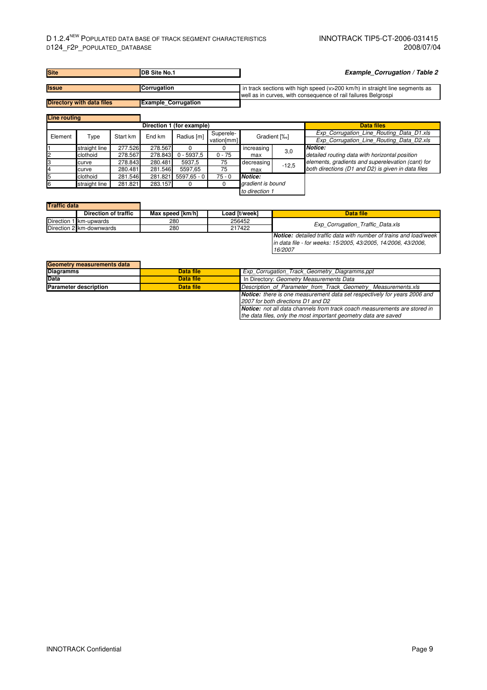#### D 1.2.4<sup>NEW</sup> POPULATED DATA BASE OF TRACK SEGMENT CHARACTERISTICS INNOTRACK TIP5-CT-2006-031415<br>D124 F2P POPULATED DATABASE D124\_F2P\_POPULATED\_DATABASE

in data file - for weeks: 15/2005, 43/2005, 14/2006, 43/2006,

| <b>Site</b>                      | <b>IDB Site No.1</b>       | <b>Example Corrugation / Table 2</b>                                        |
|----------------------------------|----------------------------|-----------------------------------------------------------------------------|
|                                  |                            |                                                                             |
| <b>Issue</b>                     | <b>Corrugation</b>         | in track sections with high speed (v>200 km/h) in straight line segments as |
|                                  |                            | well as in curves, with consequence of rail failures Belgrospi              |
| <b>Directory with data files</b> | <b>Example Corrugation</b> |                                                                             |
|                                  |                            |                                                                             |
| Line routing                     |                            |                                                                             |

|               |               |          |         | Direction 1 (for example) |            |                   |         | <b>Data files</b>                                                                    |  |  |
|---------------|---------------|----------|---------|---------------------------|------------|-------------------|---------|--------------------------------------------------------------------------------------|--|--|
| Element       | Type          | Start km | End km  | Radius [m]                | Superele-  | Gradient [%]      |         | Exp Corrugation Line Routing Data D1.xls<br>Exp Corrugation Line Routing Data D2.xls |  |  |
|               |               |          |         |                           | vation[mm] |                   |         |                                                                                      |  |  |
|               | straight line | 277.526  | 278.567 |                           |            | increasing        | 3,0     | Notice:                                                                              |  |  |
| $\mathsf{I}2$ | clothoid      | 278.567  | 278.843 | $0 - 5937.5$              | $0 - 75$   | max               |         | detailed routing data with horizontal position                                       |  |  |
|               | curve         | 278.843  | 280.481 | 5937,5                    | 75         | decreasing        | $-12.5$ | elements, gradients and superelevation (cant) for                                    |  |  |
|               | curve         | 280.481  | 281.546 | 5597,65                   | 75         | max               |         | both directions (D1 and D2) is given in data files                                   |  |  |
| 15            | clothoid      | 281.546  | 281.821 | $5597.65 - 0$             | $75 - 0$   | Notice:           |         |                                                                                      |  |  |
| 6             | straight line | 281.821  | 283.157 |                           |            | gradient is bound |         |                                                                                      |  |  |
|               |               |          |         | to direction 1            |            |                   |         |                                                                                      |  |  |

| <b>Traffic data</b>    |                          |                  |               |                                                                          |
|------------------------|--------------------------|------------------|---------------|--------------------------------------------------------------------------|
|                        | Direction of traffic     | Max speed [km/h] | Load [t/week] | Data file                                                                |
| Direction 1 km-upwards |                          | 280              | 256452        | Exp Corrugation Traffic Data.xls                                         |
|                        | Direction 2 km-downwards | 280              | 217422        |                                                                          |
|                        |                          |                  |               | <b>Notice:</b> detailed traffic data with number of trains and load/week |

| <b>Geometry measurements data</b> |           |                                                                                                                                                     |
|-----------------------------------|-----------|-----------------------------------------------------------------------------------------------------------------------------------------------------|
| <b>Diagramms</b>                  | Data file | Exp Corrugation Track Geometry Diagramms.ppt                                                                                                        |
| <b>Data</b>                       | Data file | In Directory: Geometry Measurements Data                                                                                                            |
| <b>Parameter description</b>      | Data file | Description of Parameter from Track Geometry Measurements.xls                                                                                       |
|                                   |           | <b>Notice:</b> there is one measurement data set respectively for years 2006 and<br>2007 for both directions D1 and D2                              |
|                                   |           | <b>Notice:</b> not all data channels from track coach measurements are stored in<br>the data files, only the most important geometry data are saved |

16/2007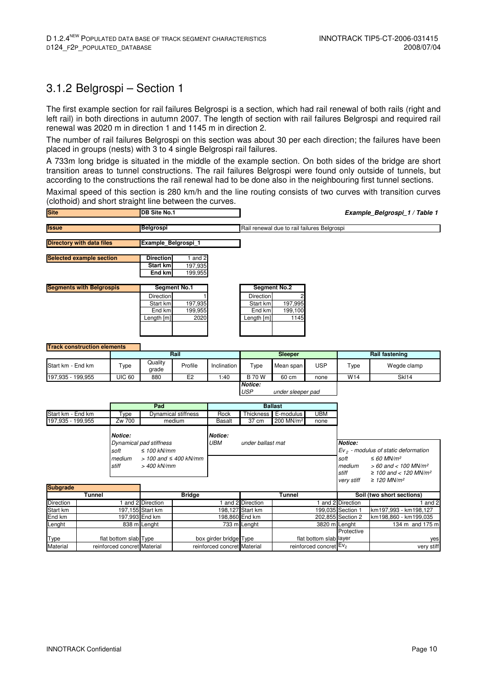### 3.1.2 Belgrospi – Section 1

The first example section for rail failures Belgrospi is a section, which had rail renewal of both rails (right and left rail) in both directions in autumn 2007. The length of section with rail failures Belgrospi and required rail renewal was 2020 m in direction 1 and 1145 m in direction 2.

The number of rail failures Belgrospi on this section was about 30 per each direction; the failures have been placed in groups (nests) with 3 to 4 single Belgrospi rail failures.

A 733m long bridge is situated in the middle of the example section. On both sides of the bridge are short transition areas to tunnel constructions. The rail failures Belgrospi were found only outside of tunnels, but according to the constructions the rail renewal had to be done also in the neighbouring first tunnel sections.

Maximal speed of this section is 280 km/h and the line routing consists of two curves with transition curves (clothoid) and short straight line between the curves.

| <b>Site</b>                        | <b>DB Site No.1</b> |                     |                     | Example_Belgrospi_1 / Table 1               |                   |                       |            |      |                       |
|------------------------------------|---------------------|---------------------|---------------------|---------------------------------------------|-------------------|-----------------------|------------|------|-----------------------|
| <b>Issue</b>                       | Belgrospi           |                     |                     | Rail renewal due to rail failures Belgrospi |                   |                       |            |      |                       |
| <b>Directory with data files</b>   |                     | Example Belgrospi 1 |                     |                                             |                   |                       |            |      |                       |
| <b>Selected example section</b>    |                     | <b>Direction</b>    | 1 and 2             |                                             |                   |                       |            |      |                       |
|                                    |                     | Start km<br>End km  | 197,935<br>199,955  |                                             |                   |                       |            |      |                       |
| <b>Segments with Belgrospis</b>    |                     |                     | <b>Segment No.1</b> |                                             |                   | <b>Segment No.2</b>   |            |      |                       |
|                                    |                     | Direction           |                     |                                             | <b>Direction</b>  |                       |            |      |                       |
|                                    |                     | Start km            | 197,935             |                                             | Start km          | 197,995               |            |      |                       |
|                                    |                     | End km              | 199,955             |                                             | End km            | 199,100               |            |      |                       |
|                                    |                     | Length [m]          | 2020                |                                             | Length [m]        | 1145                  |            |      |                       |
|                                    |                     |                     |                     |                                             |                   |                       |            |      |                       |
|                                    |                     |                     |                     |                                             |                   |                       |            |      |                       |
| <b>Track construction elements</b> |                     |                     |                     |                                             |                   |                       |            |      |                       |
|                                    |                     |                     | Rail                |                                             |                   | <b>Sleeper</b>        |            |      | <b>Rail fastening</b> |
| Start km - End km                  | Type                | Quality<br>grade    | Profile             | Inclination                                 | Type              | Mean span             | <b>USP</b> | Type | Wegde clamp           |
| 197,935 - 199,955                  | <b>UIC 60</b>       | 880                 | E2                  | 1:40                                        | <b>B</b> 70 W     | 60 cm                 | none       | W14  | <b>SkI14</b>          |
|                                    |                     |                     |                     | <b>Notice:</b><br><b>USP</b>                | under sleeper pad |                       |            |      |                       |
|                                    |                     | Pad                 |                     |                                             |                   | <b>Ballast</b>        |            |      |                       |
| Start km - End km                  | Type                |                     | Dynamical stiffness | Rock                                        | Thickness         | E-modulus             | <b>UBM</b> |      |                       |
| 197,935 - 199,955                  | Zw 700              | medium              |                     | <b>Basalt</b>                               | 37 cm             | 200 MN/m <sup>2</sup> | none       |      |                       |

| $101,000$ $100,000$ |                  |                                               | papan      |                   |  |                         |                                                                                                               |  |
|---------------------|------------------|-----------------------------------------------|------------|-------------------|--|-------------------------|---------------------------------------------------------------------------------------------------------------|--|
|                     | <b>Notice:</b>   |                                               | Notice:    |                   |  |                         |                                                                                                               |  |
|                     |                  | Dynamical pad stiffness                       | <b>UBM</b> | under ballast mat |  | Notice:                 |                                                                                                               |  |
|                     | soft             | $\leq$ 100 kN/mm                              |            |                   |  |                         | $Ev2$ - modulus of static deformation                                                                         |  |
|                     | medium<br>.stiff | $>$ 100 and $\leq$ 400 kN/mm<br>$>$ 400 kN/mm |            |                   |  | soft<br>medium<br>stiff | $\leq 60$ MN/m <sup>2</sup><br>$> 60$ and $< 100$ MN/m <sup>2</sup><br>$\geq$ 100 and < 120 MN/m <sup>2</sup> |  |
| <b>Subgrade</b>     |                  |                                               |            |                   |  | very stiff              | $\geq$ 120 MN/m <sup>2</sup>                                                                                  |  |

|             | Tunnel                      |                  | <b>Bridge</b>               |                  | Tunnel                             | Soil (two short sections) |                       |
|-------------|-----------------------------|------------------|-----------------------------|------------------|------------------------------------|---------------------------|-----------------------|
| Direction   |                             | and 2 Direction  |                             | and 2 Direction  |                                    | and 2 Direction           | and 2                 |
| Start km    |                             | 197.155 Start km |                             | 198.127 Start km |                                    | 199.035 Section 1         | km197,993 - km198,127 |
| End km      |                             | 197.993 End km   |                             | 198.860 End km   |                                    | 202,855 Section 2         | km198,860 - km199,035 |
| Lenght      |                             | 838 m Lenght     |                             | 733 mlLenght     | 3820 m Lenght                      |                           | 134 m and 175 m       |
|             |                             |                  |                             |                  |                                    | Protective                |                       |
| <b>Type</b> | flat bottom slab Type       |                  | box girder bridge Type      |                  | flat bottom slab layer             |                           | ves                   |
| Material    | reinforced concret Material |                  | reinforced concret Material |                  | reinforced concret Ev <sub>2</sub> |                           | very stiff            |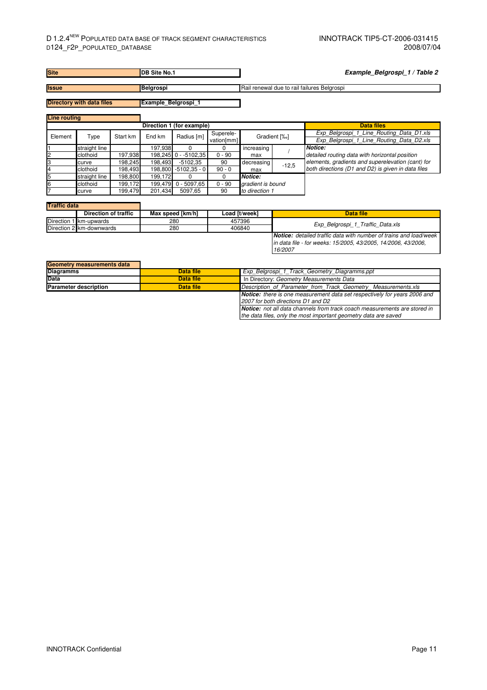| <b>Site</b>         |                                  |          | <b>DB Site No.1</b> |                           |                         | Example_Belgrospi_1 / Table 2               |              |                                                                                                                                           |  |  |
|---------------------|----------------------------------|----------|---------------------|---------------------------|-------------------------|---------------------------------------------|--------------|-------------------------------------------------------------------------------------------------------------------------------------------|--|--|
| <b>Issue</b>        |                                  |          | Belgrospi           |                           |                         | Rail renewal due to rail failures Belgrospi |              |                                                                                                                                           |  |  |
|                     | <b>Directory with data files</b> |          | Example Belgrospi 1 |                           |                         |                                             |              |                                                                                                                                           |  |  |
| <b>Line routing</b> |                                  |          |                     |                           |                         |                                             |              |                                                                                                                                           |  |  |
|                     |                                  |          |                     | Direction 1 (for example) |                         |                                             |              | <b>Data files</b>                                                                                                                         |  |  |
| Element             | Type                             | Start km | End km              | Radius [m]                | Superele-<br>vation[mm] |                                             | Gradient [%] | Exp Belgrospi 1 Line Routing Data D1.xls<br>Exp Belgrospi 1 Line Routing Data D2.xls                                                      |  |  |
|                     | straight line                    |          | 197,938             | $\Omega$                  | 0                       | increasing                                  |              | <b>Notice:</b>                                                                                                                            |  |  |
| 2                   | clothoid                         | 197,938  |                     | 198,245 0 - - 5102,35     | $0 - 90$                | max                                         |              | detailed routing data with horizontal position                                                                                            |  |  |
| IЗ                  | curve                            | 198,245  | 198,493             | $-5102,35$                | 90                      | decreasing                                  |              | elements, gradients and superelevation (cant) for                                                                                         |  |  |
| 4                   | clothoid                         | 198,493  | 198,800             | $-5102,35 - 0$            | $90 - 0$                | max                                         | $-12.5$      | both directions (D1 and D2) is given in data files                                                                                        |  |  |
| 5                   | straight line                    | 198,800  | 199,172             | 0                         | 0                       | Notice:                                     |              |                                                                                                                                           |  |  |
| 6                   | clothoid                         | 199,172  | 199,479             | $0 - 5097,65$             | $0 - 90$                | gradient is bound                           |              |                                                                                                                                           |  |  |
|                     | curve                            | 199.479  | 201,434             | 5097,65                   | 90                      | to direction 1                              |              |                                                                                                                                           |  |  |
| <b>Traffic data</b> |                                  |          |                     |                           |                         |                                             |              |                                                                                                                                           |  |  |
|                     | <b>Direction of traffic</b>      |          |                     | Max speed [km/h]          |                         | Load [t/week]                               |              | <b>Data file</b>                                                                                                                          |  |  |
|                     | Direction 1 km-upwards           |          |                     | 280                       |                         | 457396                                      |              | Exp Belgrospi 1 Traffic Data.xls                                                                                                          |  |  |
|                     | Direction 2 km-downwards         |          |                     | 280                       |                         | 406840                                      |              |                                                                                                                                           |  |  |
|                     |                                  |          |                     |                           |                         |                                             | 16/2007      | <b>Notice:</b> detailed traffic data with number of trains and load/week<br>in data file - for weeks: 15/2005, 43/2005, 14/2006, 43/2006, |  |  |
|                     | Geometry measurements data       |          |                     |                           |                         |                                             |              |                                                                                                                                           |  |  |

| Data file | Exp_Belgrospi_1_Track_Geometry_Diagramms.ppt                                     |  |  |  |  |
|-----------|----------------------------------------------------------------------------------|--|--|--|--|
| Data file | In Directory: Geometry Measurements Data                                         |  |  |  |  |
| Data file | Description of Parameter from Track Geometry Measurements.xls                    |  |  |  |  |
|           | <b>Notice:</b> there is one measurement data set respectively for years 2006 and |  |  |  |  |
|           | 2007 for both directions D1 and D2                                               |  |  |  |  |
|           | <b>Notice:</b> not all data channels from track coach measurements are stored in |  |  |  |  |
|           | the data files, only the most important geometry data are saved                  |  |  |  |  |
|           |                                                                                  |  |  |  |  |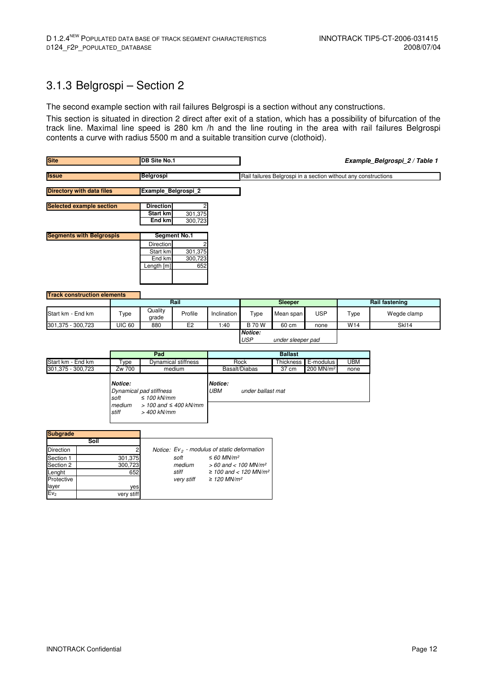#### 3.1.3 Belgrospi – Section 2

The second example section with rail failures Belgrospi is a section without any constructions.

This section is situated in direction 2 direct after exit of a station, which has a possibility of bifurcation of the track line. Maximal line speed is 280 km /h and the line routing in the area with rail failures Belgrospi contents a curve with radius 5500 m and a suitable transition curve (clothoid).

| <b>Site</b>                                       | <b>DB Site No.1</b>                                                                                                                                       |                                               |                                                        |                             |                                            |                                                                |                                    | Example_Belgrospi_2 / Table 1 |                           |
|---------------------------------------------------|-----------------------------------------------------------------------------------------------------------------------------------------------------------|-----------------------------------------------|--------------------------------------------------------|-----------------------------|--------------------------------------------|----------------------------------------------------------------|------------------------------------|-------------------------------|---------------------------|
| <b>Issue</b>                                      |                                                                                                                                                           | <b>Belgrospi</b>                              |                                                        |                             |                                            | Rail failures Belgrospi in a section without any constructions |                                    |                               |                           |
| <b>Directory with data files</b>                  |                                                                                                                                                           | Example Belgrospi 2                           |                                                        |                             |                                            |                                                                |                                    |                               |                           |
| <b>Selected example section</b>                   | <b>Direction</b><br>Start km<br>End km                                                                                                                    | 301,375<br>300,723                            |                                                        |                             |                                            |                                                                |                                    |                               |                           |
| <b>Segments with Belgrospis</b>                   |                                                                                                                                                           | Direction<br>Start km<br>End km<br>Length [m] | <b>Segment No.1</b><br>301,375<br>300,723<br>652       |                             |                                            |                                                                |                                    |                               |                           |
| <b>Track construction elements</b>                |                                                                                                                                                           |                                               | Rail                                                   |                             |                                            | Sleeper                                                        |                                    |                               | <b>Rail fastening</b>     |
| Start km - End km                                 | Type                                                                                                                                                      | Quality<br>grade                              | Profile                                                | Inclination                 | Type                                       | Mean span                                                      | <b>USP</b>                         | Type                          | Wegde clamp               |
| 301,375 - 300,723                                 | <b>UIC 60</b>                                                                                                                                             | 880                                           | E2                                                     | 1:40                        | <b>B</b> 70 W                              | 60 cm                                                          | none                               | W14                           | $\overline{\text{Sk}}$ 14 |
|                                                   |                                                                                                                                                           |                                               |                                                        |                             | Notice:<br><b>USP</b><br>under sleeper pad |                                                                |                                    |                               |                           |
|                                                   |                                                                                                                                                           | Pad                                           |                                                        |                             | <b>Ballast</b>                             |                                                                |                                    |                               |                           |
| Start km - End km<br>301,375 - 300,723            | <b>Type</b><br>Zw 700                                                                                                                                     |                                               | <b>Dynamical stiffness</b><br>medium                   |                             | Rock<br>Basalt/Diabas                      | Thickness<br>$37 \text{ cm}$                                   | E-modulus<br>200 MN/m <sup>2</sup> | <b>UBM</b><br>none            |                           |
|                                                   | Notice:<br>Notice:<br><b>UBM</b><br>Dynamical pad stiffness<br>soft<br>$\leq 100$ kN/mm<br>medium<br>$> 100$ and $\leq 400$ kN/mm<br>stiff<br>> 400 kN/mm |                                               |                                                        |                             | under ballast mat                          |                                                                |                                    |                               |                           |
| <b>Subgrade</b><br>Soil<br>Direction<br>Section 1 | 2<br>301,375                                                                                                                                              |                                               | Notice: $Ev_2$ - modulus of static deformation<br>soft | $\leq 60$ MN/m <sup>2</sup> |                                            |                                                                |                                    |                               |                           |

|                 | Soil         |            |                                                |
|-----------------|--------------|------------|------------------------------------------------|
| Direction       | $\mathbf{2}$ |            | Notice: $Ev_2$ - modulus of static deformation |
| Section 1       | 301,375      | soft       | $\leq 60$ MN/m <sup>2</sup>                    |
| Section 2       | 300,723      | medium     | $> 60$ and < 100 MN/m <sup>2</sup>             |
| Lenght          | 652          | stiff      | $\geq$ 100 and < 120 MN/m <sup>2</sup>         |
| Protective      |              | very stiff | $\geq$ 120 MN/m <sup>2</sup>                   |
| layer           | ves          |            |                                                |
| Ev <sub>2</sub> | very stiff   |            |                                                |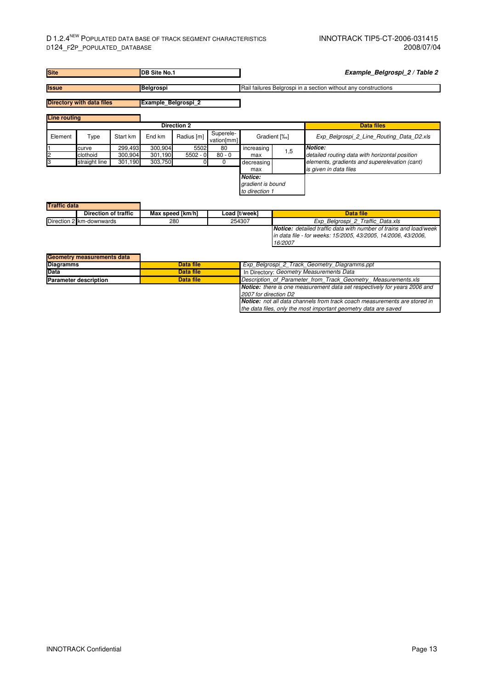#### D 1.2.4<sup>NEW</sup> POPULATED DATA BASE OF TRACK SEGMENT CHARACTERISTICS **INNOTRACK TIP5-CT-2006-031415** D124\_F2P\_POPULATED\_DATABASE 2008/07/04

| <b>Site</b>         |                                  |          | <b>DB Site No.1</b> |                    |                         |                                                |     | Example_Belgrospi_2 / Table 2                                  |
|---------------------|----------------------------------|----------|---------------------|--------------------|-------------------------|------------------------------------------------|-----|----------------------------------------------------------------|
| <b>Issue</b>        |                                  |          | Belgrospi           |                    |                         |                                                |     | Rail failures Belgrospi in a section without any constructions |
|                     | <b>Directory with data files</b> |          | Example Belgrospi 2 |                    |                         |                                                |     |                                                                |
| <b>Line routing</b> |                                  |          |                     |                    |                         |                                                |     |                                                                |
|                     |                                  |          |                     | <b>Direction 2</b> |                         |                                                |     | <b>Data files</b>                                              |
| Element             | Type                             | Start km | End km              | Radius [m]         | Superele-<br>vation[mm] | Gradient [%]                                   |     | Exp Belgrospi 2 Line Routing Data D2.xls                       |
|                     | curve                            | 299,493  | 300,904             | 5502               | 80                      | increasing                                     | 1,5 | Notice:                                                        |
| $\overline{c}$      | clothoid                         | 300.904  | 301,190             | $5502 - 0$         | $80 - 0$                | max                                            |     | detailed routing data with horizontal position                 |
| З                   | straight line                    | 301,190  | 303,750             |                    | 0                       | decreasing                                     |     | elements, gradients and superelevation (cant)                  |
|                     |                                  |          |                     |                    |                         | max                                            |     | is given in data files                                         |
|                     |                                  |          |                     |                    |                         | Notice:<br>gradient is bound<br>to direction 1 |     |                                                                |
| <b>Traffic data</b> |                                  |          |                     |                    |                         |                                                |     |                                                                |

| <b>Direction of traffic</b> | Max speed [km/h] | Load [t/week] | Data file                                                                |
|-----------------------------|------------------|---------------|--------------------------------------------------------------------------|
| Direction 2 km-downwards    | 280              | 254307        | Exp Belgrospi 2 Traffic Data.xls                                         |
|                             |                  |               | <b>Notice:</b> detailed traffic data with number of trains and load/week |
|                             |                  |               | in data file - for weeks: 15/2005, 43/2005, 14/2006, 43/2006,            |
|                             |                  |               | 16/2007                                                                  |

| Geometry measurements data   |           |                                                                                  |  |  |  |  |
|------------------------------|-----------|----------------------------------------------------------------------------------|--|--|--|--|
| <b>Diagramms</b>             | Data file | Exp Belgrospi 2 Track Geometry Diagramms.ppt                                     |  |  |  |  |
| <b>Data</b>                  | Data file | In Directory: Geometry Measurements Data                                         |  |  |  |  |
| <b>Parameter description</b> | Data file | Description of Parameter from Track Geometry Measurements.xls                    |  |  |  |  |
|                              |           | <b>Notice:</b> there is one measurement data set respectively for years 2006 and |  |  |  |  |
|                              |           | 2007 for direction D2                                                            |  |  |  |  |
|                              |           | <b>Notice:</b> not all data channels from track coach measurements are stored in |  |  |  |  |
|                              |           | the data files, only the most important geometry data are saved                  |  |  |  |  |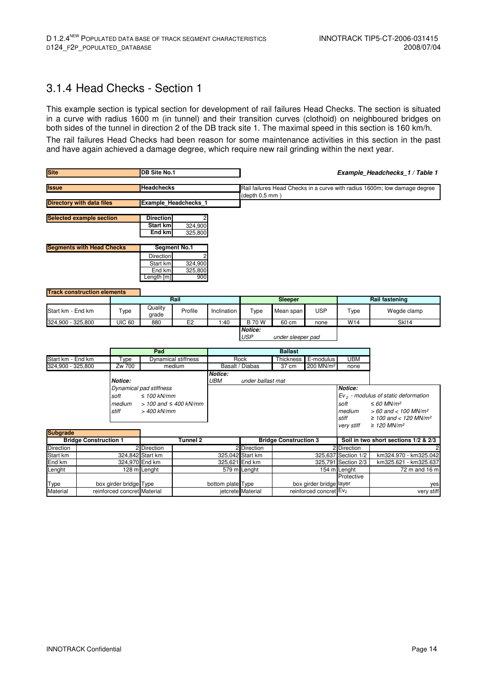#### 3.1.4 Head Checks - Section 1

This example section is typical section for development of rail failures Head Checks. The section is situated in a curve with radius 1600 m (in tunnel) and their transition curves (clothoid) on neighboured bridges on both sides of the tunnel in direction 2 of the DB track site 1. The maximal speed in this section is 160 km/h. The rail failures Head Checks had been reason for some maintenance activities in this section in the past and have again achieved a damage degree, which require new rail grinding within the next year.

| <b>Site</b>                     | <b>DB Site No.1</b>                |                             |                                                                 |                              |                   |                                                                                             |                              |                        | Example_Headchecks_1 / Table 1        |                                                                                                                                                                              |
|---------------------------------|------------------------------------|-----------------------------|-----------------------------------------------------------------|------------------------------|-------------------|---------------------------------------------------------------------------------------------|------------------------------|------------------------|---------------------------------------|------------------------------------------------------------------------------------------------------------------------------------------------------------------------------|
| <b>Issue</b>                    |                                    |                             | <b>Headchecks</b>                                               |                              |                   | Rail failures Head Checks in a curve with radius 1600m; low damage degree<br>(depth 0.5 mm) |                              |                        |                                       |                                                                                                                                                                              |
|                                 | <b>Directory with data files</b>   |                             |                                                                 | Example Headchecks 1         |                   |                                                                                             |                              |                        |                                       |                                                                                                                                                                              |
| <b>Selected example section</b> |                                    |                             | <b>Direction</b><br>Start km<br><b>End km</b>                   | 324,900<br>325,800           |                   |                                                                                             |                              |                        |                                       |                                                                                                                                                                              |
|                                 | <b>Segments with Head Checks</b>   |                             |                                                                 | <b>Segment No.1</b>          |                   |                                                                                             |                              |                        |                                       |                                                                                                                                                                              |
|                                 |                                    |                             | Direction<br>Start km<br>End km<br>Length [m]                   | 324,900<br>325,800<br>900    |                   |                                                                                             |                              |                        |                                       |                                                                                                                                                                              |
|                                 | <b>Track construction elements</b> |                             |                                                                 |                              |                   |                                                                                             |                              |                        |                                       |                                                                                                                                                                              |
| Start km - End km               |                                    | Type                        | Quality<br>grade                                                | Rail<br>Profile              | Inclination       | Type                                                                                        | Sleeper<br>Mean span         | <b>USP</b>             | Type                                  | <b>Rail fastening</b><br>Wegde clamp                                                                                                                                         |
| 324,900 - 325,800               |                                    | <b>UIC 60</b>               | 880                                                             | E <sub>2</sub>               | 1:40              | <b>B</b> 70 W                                                                               | 60 cm                        | none                   | W14                                   | <b>SkI14</b>                                                                                                                                                                 |
|                                 |                                    |                             |                                                                 | <b>Notice:</b><br><b>USP</b> | under sleeper pad |                                                                                             |                              |                        |                                       |                                                                                                                                                                              |
|                                 |                                    |                             | Pad                                                             |                              |                   |                                                                                             | <b>Ballast</b>               |                        |                                       |                                                                                                                                                                              |
| Start km - End km               |                                    | Type                        |                                                                 | <b>Dynamical stiffness</b>   |                   | Rock<br>Thickness                                                                           |                              | E-modulus              | <b>UBM</b>                            |                                                                                                                                                                              |
| 324,900 - 325,800               |                                    | Zw 700<br>Notice:           |                                                                 | medium                       | Notice:<br>UBM    | Basalt / Diabas<br>under ballast mat                                                        | 37 cm                        | 200 MN/m <sup>2</sup>  | none                                  |                                                                                                                                                                              |
|                                 |                                    |                             | Dynamical pad stiffness                                         |                              |                   |                                                                                             |                              |                        | Notice:                               |                                                                                                                                                                              |
|                                 |                                    | soft<br>medium<br>stiff     | $\leq 100$ kN/mm<br>$> 100$ and $\leq 400$ kN/mm<br>> 400 kN/mm |                              |                   |                                                                                             |                              |                        | soft<br>medium<br>stiff<br>very stiff | $Ev2$ - modulus of static deformation<br>$\leq 60$ MN/m <sup>2</sup><br>$> 60$ and $< 100$ MN/m <sup>2</sup><br>≥ 100 and < 120 MN/m <sup>2</sup><br>≥ 120 MN/m <sup>2</sup> |
| <b>Subgrade</b>                 |                                    |                             |                                                                 |                              |                   |                                                                                             |                              |                        |                                       |                                                                                                                                                                              |
|                                 | <b>Bridge Construction 1</b>       |                             |                                                                 | Tunnel 2                     |                   |                                                                                             | <b>Bridge Construction 3</b> |                        |                                       | Soil in two short sections 1/2 & 2/3                                                                                                                                         |
| <b>Direction</b><br>Start km    |                                    |                             | 2 Direction                                                     |                              |                   | 2 Direction<br>325,042 Start km                                                             |                              |                        | 2 Direction<br>325,637 Section 1/2    | km324.970 - km325.042                                                                                                                                                        |
| End km                          | 324,842 Start km<br>324,970 End km |                             |                                                                 | 325,621 End km               |                   |                                                                                             |                              | 325,791 Section 2/3    | km325.621 - km325.637                 |                                                                                                                                                                              |
| Lenght                          | 128 m Lenght                       |                             |                                                                 | 579 m Lenght                 |                   |                                                                                             | 154 m Lenght                 | 72 m and 16 m          |                                       |                                                                                                                                                                              |
| Type                            |                                    | box girder bridge Type      |                                                                 |                              |                   | bottom plate Type                                                                           | box girder bridge layer      |                        | Protective                            | yes                                                                                                                                                                          |
| Material                        |                                    | reinforced concret Material |                                                                 |                              |                   | jetcrete Material                                                                           |                              | reinforced concret Ev2 |                                       | very stiff                                                                                                                                                                   |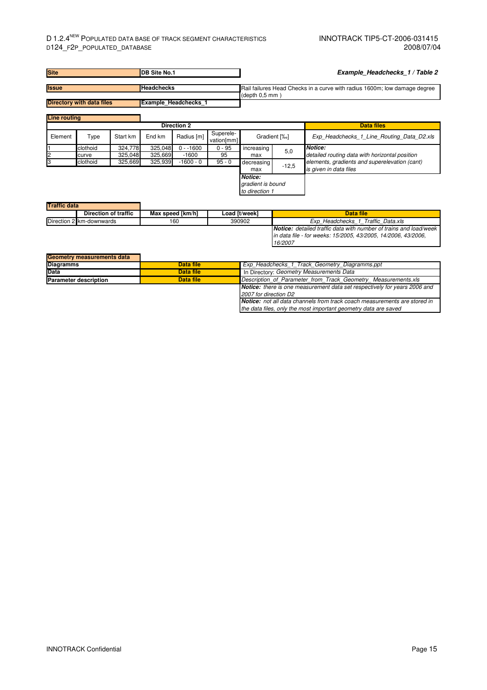#### D 1.2.4<sup>NEW</sup> POPULATED DATA BASE OF TRACK SEGMENT CHARACTERISTICS INNOTRACK TIP5-CT-2006-031415<br>D124\_F2P\_POPULATED\_DATABASE 2008/07/04 D124\_F2P\_POPULATED\_DATABASE

| <b>Site</b>                                                     |                   |                    | <b>IDB Site No.1</b> |                       |                         | Example Headchecks 1 / Table 2                        |         |                                                                           |  |
|-----------------------------------------------------------------|-------------------|--------------------|----------------------|-----------------------|-------------------------|-------------------------------------------------------|---------|---------------------------------------------------------------------------|--|
| <b>Issue</b>                                                    |                   |                    | <b>Headchecks</b>    |                       |                         |                                                       |         | Rail failures Head Checks in a curve with radius 1600m; low damage degree |  |
| <b>Directory with data files</b><br><b>Example Headchecks 1</b> |                   |                    |                      |                       |                         | (depth 0.5 mm)                                        |         |                                                                           |  |
| <b>Line routing</b>                                             |                   |                    |                      | <b>Direction 2</b>    |                         |                                                       |         | <b>Data files</b>                                                         |  |
| Element                                                         | Type              | Start km           | End km               | Radius [m]            | Superele-<br>vation[mm] | Gradient [%]                                          |         | Exp Headchecks 1 Line Routing Data D2.xls                                 |  |
|                                                                 | clothoid<br>curve | 324.778<br>325,048 | 325,048<br>325,669   | $0 - 1600$<br>$-1600$ | $0 - 95$<br>95          | increasing<br>max                                     | 5,0     | Notice:<br>detailed routing data with horizontal position                 |  |
| IЗ                                                              | clothoid          | 325,669            | 325,939              | $-1600 - 0$           | $95 - 0$                | decreasing<br>max                                     | $-12,5$ | elements, gradients and superelevation (cant)<br>is given in data files   |  |
|                                                                 |                   |                    |                      |                       |                         | <b>Notice:</b><br>gradient is bound<br>to direction 1 |         |                                                                           |  |
| <b>Traffic data</b>                                             |                   |                    |                      |                       |                         |                                                       |         |                                                                           |  |

| THAIR UAIA |                          |                  |               |                                                                          |
|------------|--------------------------|------------------|---------------|--------------------------------------------------------------------------|
|            | Direction of traffic     | Max speed [km/h] | Load [t/week] | Data file                                                                |
|            | Direction 2 km-downwards | 160              | 390902        | Exp Headchecks 1 Traffic Data.xls                                        |
|            |                          |                  |               | <b>Notice:</b> detailed traffic data with number of trains and load/week |
|            |                          |                  |               | lin data file - for weeks: 15/2005, 43/2005, 14/2006, 43/2006,           |
|            |                          |                  |               | 16/2007                                                                  |

| Geometry measurements data   |           |                                                                                  |  |  |  |  |
|------------------------------|-----------|----------------------------------------------------------------------------------|--|--|--|--|
| <b>Diagramms</b>             | Data file | Exp Headchecks 1 Track Geometry Diagramms.ppt                                    |  |  |  |  |
| <b>Data</b>                  | Data file | In Directory: Geometry Measurements Data                                         |  |  |  |  |
| <b>Parameter description</b> | Data file | Description of Parameter from Track Geometry Measurements.xls                    |  |  |  |  |
|                              |           | <b>Notice:</b> there is one measurement data set respectively for years 2006 and |  |  |  |  |
|                              |           | 2007 for direction D2                                                            |  |  |  |  |
|                              |           | <b>Notice:</b> not all data channels from track coach measurements are stored in |  |  |  |  |
|                              |           | the data files, only the most important geometry data are saved                  |  |  |  |  |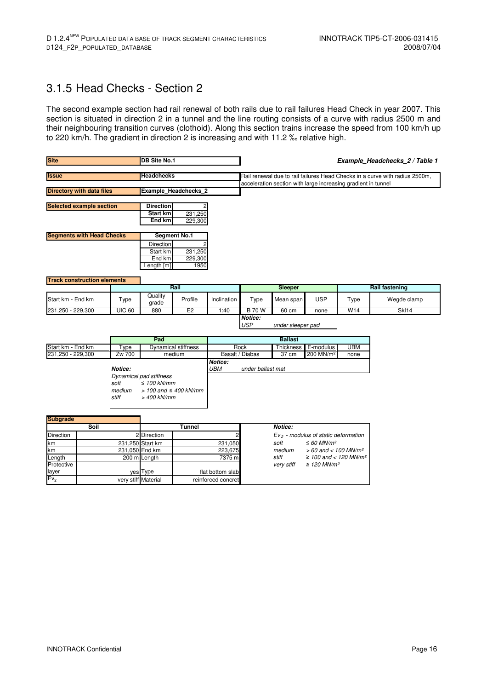### 3.1.5 Head Checks - Section 2

The second example section had rail renewal of both rails due to rail failures Head Check in year 2007. This section is situated in direction 2 in a tunnel and the line routing consists of a curve with radius 2500 m and their neighbouring transition curves (clothoid). Along this section trains increase the speed from 100 km/h up to 220 km/h. The gradient in direction 2 is increasing and with 11.2 ‰ relative high.

| <b>Site</b>                        |                                                          |                                              | <b>DB Site No.1</b>                                                                                                                       |                            |                    | Example_Headchecks_2 / Table 1 |                     |                                                               |            |                                                                             |
|------------------------------------|----------------------------------------------------------|----------------------------------------------|-------------------------------------------------------------------------------------------------------------------------------------------|----------------------------|--------------------|--------------------------------|---------------------|---------------------------------------------------------------|------------|-----------------------------------------------------------------------------|
| <b>Issue</b>                       |                                                          |                                              | <b>Headchecks</b>                                                                                                                         |                            |                    |                                |                     | acceleration section with large increasing gradient in tunnel |            | Rail renewal due to rail failures Head Checks in a curve with radius 2500m, |
|                                    | <b>Directory with data files</b><br>Example Headchecks 2 |                                              |                                                                                                                                           |                            |                    |                                |                     |                                                               |            |                                                                             |
| <b>Selected example section</b>    |                                                          |                                              | <b>Direction</b><br><b>Start km</b><br>End km                                                                                             | 231,250<br>229,300         |                    |                                |                     |                                                               |            |                                                                             |
| <b>Segments with Head Checks</b>   |                                                          |                                              |                                                                                                                                           | <b>Segment No.1</b>        |                    |                                |                     |                                                               |            |                                                                             |
|                                    |                                                          |                                              | Direction<br>Start km<br>End km<br>Length [m]                                                                                             | 231,250<br>229,300<br>1950 |                    |                                |                     |                                                               |            |                                                                             |
| <b>Track construction elements</b> |                                                          |                                              |                                                                                                                                           | Rail                       |                    |                                | Sleeper             |                                                               |            | <b>Rail fastening</b>                                                       |
| Start km - End km                  |                                                          | Type                                         | Quality<br>grade                                                                                                                          | Profile                    | Inclination        | Type                           | Mean span           | <b>USP</b>                                                    | Type       | Wegde clamp                                                                 |
| 231,250 - 229,300                  |                                                          | <b>UIC 60</b>                                | 880                                                                                                                                       | E <sub>2</sub>             | 1:40               | <b>B</b> 70 W                  | $60 \text{ cm}$     | none                                                          | W14        | <b>SkI14</b>                                                                |
|                                    |                                                          |                                              |                                                                                                                                           |                            |                    | Notice:<br><b>USP</b>          | under sleeper pad   |                                                               |            |                                                                             |
|                                    |                                                          |                                              | Pad                                                                                                                                       |                            |                    |                                | <b>Ballast</b>      |                                                               |            |                                                                             |
| Start km - End km                  |                                                          | Type                                         |                                                                                                                                           | <b>Dynamical stiffness</b> |                    | Rock                           | Thickness           | E-modulus                                                     | <b>UBM</b> |                                                                             |
| 231,250 - 229,300                  |                                                          | Zw 700<br>Notice:<br>soft<br>medium<br>stiff | medium<br>Basalt / Diabas<br>Notice:<br>UBM<br>Dynamical pad stiffness<br>$\leq 100$ kN/mm<br>$> 100$ and $\leq 400$ kN/mm<br>> 400 kN/mm |                            |                    | under ballast mat              | $37 \text{ cm}$     | 200 MN/m <sup>2</sup>                                         | none       |                                                                             |
| <b>Subgrade</b>                    | Soil                                                     |                                              |                                                                                                                                           | <b>Tunnel</b>              |                    |                                | Notice:             |                                                               |            |                                                                             |
| Direction                          |                                                          |                                              | 2 Direction                                                                                                                               |                            |                    |                                |                     | $Ev2$ - modulus of static deformation                         |            |                                                                             |
| km                                 |                                                          |                                              | 231,250 Start km                                                                                                                          |                            | 231,050            |                                | soft                | $\leq 60$ MN/m <sup>2</sup>                                   |            |                                                                             |
| km                                 |                                                          | 231,050 End km                               |                                                                                                                                           |                            | 223,675            |                                | medium              | $> 60$ and < 100 MN/m <sup>2</sup>                            |            |                                                                             |
| _ength<br>Protective<br>layer      |                                                          |                                              | 200 m Length<br>yes Type                                                                                                                  | 7375 m<br>flat bottom slab |                    |                                | stiff<br>very stiff | ≥ 100 and < 120 MN/ $m^2$<br>$\geq$ 120 MN/m <sup>2</sup>     |            |                                                                             |
| Ev <sub>2</sub>                    |                                                          |                                              | very stiff Material                                                                                                                       |                            | reinforced concret |                                |                     |                                                               |            |                                                                             |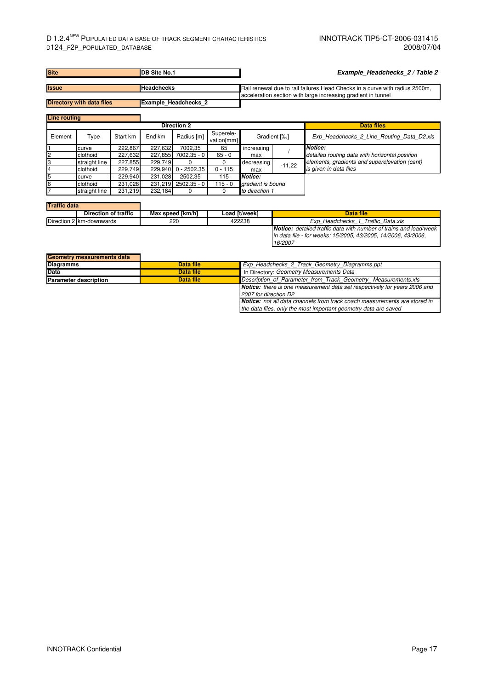| <b>Site</b>                       | DB Site No.1                |          |         |                             |                         |                                                                             |              | Example Headchecks 2/Table 2                                                                                                              |  |  |
|-----------------------------------|-----------------------------|----------|---------|-----------------------------|-------------------------|-----------------------------------------------------------------------------|--------------|-------------------------------------------------------------------------------------------------------------------------------------------|--|--|
| <b>Headchecks</b><br><b>Issue</b> |                             |          |         |                             |                         | Rail renewal due to rail failures Head Checks in a curve with radius 2500m. |              |                                                                                                                                           |  |  |
| <b>Directory with data files</b>  |                             |          |         | <b>Example Headchecks 2</b> |                         |                                                                             |              | acceleration section with large increasing gradient in tunnel                                                                             |  |  |
| <b>Line routing</b>               |                             |          |         |                             |                         |                                                                             |              |                                                                                                                                           |  |  |
|                                   |                             |          |         | <b>Direction 2</b>          |                         |                                                                             |              | <b>Data files</b>                                                                                                                         |  |  |
| Element                           | Type                        | Start km | End km  | Radius [m]                  | Superele-<br>vation[mm] |                                                                             | Gradient [%] | Exp_Headchecks_2_Line_Routing_Data_D2.xls                                                                                                 |  |  |
|                                   | curve                       | 222,867  | 227,632 | 7002,35                     | 65                      | increasing                                                                  |              | Notice:                                                                                                                                   |  |  |
|                                   | clothoid                    | 227,632  |         | 227,855 7002.35 - 0         | $65 - 0$                | max                                                                         |              | detailed routing data with horizontal position                                                                                            |  |  |
|                                   | straight line               | 227,855  | 229,749 | $\Omega$                    | $\Omega$                | decreasing                                                                  | $-11,22$     | elements, gradients and superelevation (cant)                                                                                             |  |  |
| 4                                 | clothoid                    | 229.749  | 229,940 | $0 - 2502.35$               | $0 - 115$               | max                                                                         |              | is given in data files                                                                                                                    |  |  |
|                                   | curve                       | 229.940  | 231,028 | 2502,35                     | 115                     | <b>Notice:</b>                                                              |              |                                                                                                                                           |  |  |
|                                   | clothoid                    | 231,028  |         | 231,219 2502.35 - 0         | $115 - 0$               | gradient is bound                                                           |              |                                                                                                                                           |  |  |
|                                   | straight line               | 231,219  | 232,184 | 0                           | $\Omega$                | to direction 1                                                              |              |                                                                                                                                           |  |  |
|                                   |                             |          |         |                             |                         |                                                                             |              |                                                                                                                                           |  |  |
| <b>Traffic data</b>               |                             |          |         |                             |                         |                                                                             |              |                                                                                                                                           |  |  |
|                                   | <b>Direction of traffic</b> |          |         | Max speed [km/h]            |                         | Load [t/week]                                                               |              | <b>Data file</b>                                                                                                                          |  |  |
|                                   | Direction 2 km-downwards    |          |         | 220                         |                         | 422238                                                                      |              | Exp Headchecks 1 Traffic Data.xls                                                                                                         |  |  |
|                                   |                             |          |         |                             |                         |                                                                             |              | <b>Notice:</b> detailed traffic data with number of trains and load/week<br>in data file - for weeks: 15/2005, 43/2005, 14/2006, 43/2006, |  |  |
|                                   |                             |          |         |                             |                         |                                                                             | 16/2007      |                                                                                                                                           |  |  |

| <b>Geometry measurements data</b> |           |                                                                                  |
|-----------------------------------|-----------|----------------------------------------------------------------------------------|
| <b>Diagramms</b>                  | Data file | Exp Headchecks 2 Track Geometry Diagramms.ppt                                    |
| <b>Data</b>                       | Data file | In Directory: Geometry Measurements Data                                         |
| <b>Parameter description</b>      | Data file | Description of Parameter from Track Geometry Measurements.xls                    |
|                                   |           | <b>Notice:</b> there is one measurement data set respectively for years 2006 and |
|                                   |           | 2007 for direction D2                                                            |
|                                   |           | <b>Notice:</b> not all data channels from track coach measurements are stored in |
|                                   |           | the data files, only the most important geometry data are saved                  |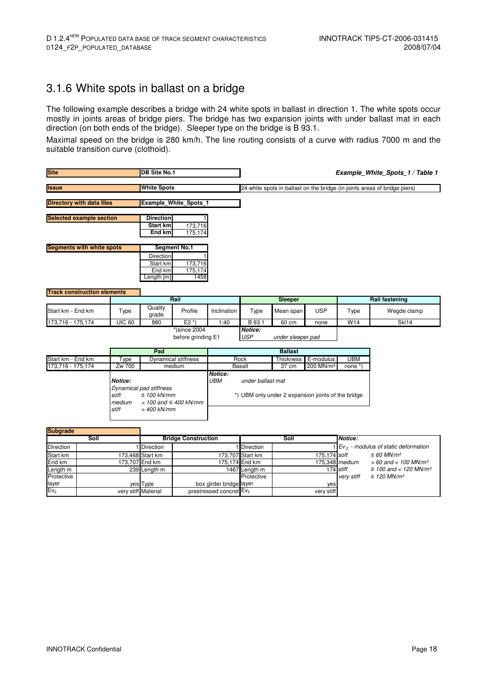#### 3.1.6 White spots in ballast on a bridge

The following example describes a bridge with 24 white spots in ballast in direction 1. The white spots occur mostly in joints areas of bridge piers. The bridge has two expansion joints with under ballast mat in each direction (on both ends of the bridge). Sleeper type on the bridge is B 93.1.

Maximal speed on the bridge is 280 km/h. The line routing consists of a curve with radius 7000 m and the suitable transition curve (clothoid).

| <b>Site</b>                        |                                              | <b>DB Site No.1</b>                                                                        |                              |                           |                                            |                                                             |                       | Example_White_Spots_1 / Table 1                                           |                                                                   |
|------------------------------------|----------------------------------------------|--------------------------------------------------------------------------------------------|------------------------------|---------------------------|--------------------------------------------|-------------------------------------------------------------|-----------------------|---------------------------------------------------------------------------|-------------------------------------------------------------------|
| <b>Issue</b>                       | <b>White Spots</b>                           |                                                                                            |                              |                           |                                            |                                                             |                       | 24 white spots in ballast on the bridge (in joints areas of bridge piers) |                                                                   |
| <b>Directory with data files</b>   |                                              |                                                                                            | <b>Example White Spots 1</b> |                           |                                            |                                                             |                       |                                                                           |                                                                   |
| <b>Selected example section</b>    |                                              | <b>Direction</b><br>Start km<br><b>End km</b>                                              | 173,716<br>175,174           |                           |                                            |                                                             |                       |                                                                           |                                                                   |
| <b>Segments with white spots</b>   |                                              |                                                                                            | <b>Segment No.1</b>          |                           |                                            |                                                             |                       |                                                                           |                                                                   |
|                                    |                                              | Direction<br>Start km<br>End km<br>ength [m]                                               | 173,716<br>175,174<br>1458   |                           |                                            |                                                             |                       |                                                                           |                                                                   |
| <b>Track construction elements</b> |                                              |                                                                                            |                              |                           |                                            |                                                             |                       |                                                                           |                                                                   |
|                                    |                                              |                                                                                            | Rail                         |                           |                                            | Sleeper                                                     |                       |                                                                           | <b>Rail fastening</b>                                             |
| Start km - End km                  | Type                                         | Quality<br>grade                                                                           | Profile                      | Inclination               | Type                                       | Mean span                                                   | <b>USP</b>            | Type                                                                      | Wegde clamp                                                       |
| 173,716 - 175,174                  | <b>UIC 60</b>                                | 880                                                                                        | $E2^*$                       | 1:40                      | B 93.1                                     | 60 cm                                                       | none                  | W <sub>14</sub>                                                           | <b>SkI14</b>                                                      |
|                                    |                                              | $*$ )since 2004<br>before grinding E1                                                      |                              |                           | Notice:<br><b>USP</b><br>under sleeper pad |                                                             |                       |                                                                           |                                                                   |
|                                    |                                              | Pad                                                                                        |                              |                           |                                            | <b>Ballast</b>                                              |                       |                                                                           |                                                                   |
| Start km - End km                  | Type                                         |                                                                                            | Dynamical stiffness          |                           | Rock                                       | Thickness                                                   | E-modulus             | <b>UBM</b>                                                                |                                                                   |
| 173.716 - 175.174                  | Zw 700<br>Notice:<br>soft<br>medium<br>stiff | Dynamical pad stiffness<br>$\leq 100$ kN/mm<br>$> 100$ and $\leq 400$ kN/mm<br>> 400 kN/mm | medium                       | Notice:<br>UBM            | <b>Basalt</b><br>under ballast mat         | 37 cm<br>*) UBM only under 2 expansion joints of the bridge | 200 MN/m <sup>2</sup> | none $*$                                                                  |                                                                   |
| <b>Subgrade</b>                    |                                              |                                                                                            |                              |                           |                                            |                                                             |                       |                                                                           |                                                                   |
| Soil                               |                                              | <b>Bridge Construction</b>                                                                 |                              |                           |                                            | Soil                                                        |                       | Notice:                                                                   |                                                                   |
| Direction                          | 1 Direction<br>173,468 Start km              |                                                                                            |                              | Direction                 |                                            |                                                             |                       | $Ev2$ - modulus of static deformation                                     |                                                                   |
| Start km<br>End km                 |                                              |                                                                                            |                              | 173,707<br>175,174 End km | Start km                                   |                                                             | 175,174 soft          | $175,348$ medium                                                          | $\leq 60$ MN/m <sup>2</sup><br>$> 60$ and < 100 MN/m <sup>2</sup> |
| Length m                           | 173,707 End km<br>239 Length m               |                                                                                            |                              | 1467 Length m             |                                            |                                                             | 174 stiff             | ≥ 100 and < 120 MN/m <sup>2</sup>                                         |                                                                   |
| Protective<br>layer                |                                              | yes Type                                                                                   |                              | box girder bridge layer   | Protective                                 |                                                             | yes                   | very stiff                                                                | $\geq$ 120 MN/m <sup>2</sup>                                      |
| Ev <sub>2</sub>                    |                                              | very stiff Material                                                                        |                              | prestressed concret       | Ev <sub>2</sub>                            |                                                             | very stiff            |                                                                           |                                                                   |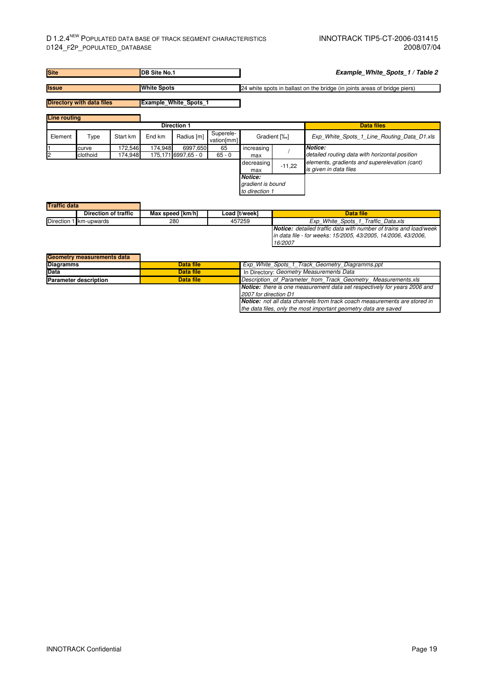| <b>Site</b>         |                                  |          | <b>IDB Site No.1</b> |                              |                         | Example_White_Spots_1 / Table 2                                           |              |                                                                         |
|---------------------|----------------------------------|----------|----------------------|------------------------------|-------------------------|---------------------------------------------------------------------------|--------------|-------------------------------------------------------------------------|
| <b>Issue</b>        |                                  |          | <b>White Spots</b>   |                              |                         | 24 white spots in ballast on the bridge (in joints areas of bridge piers) |              |                                                                         |
|                     | <b>Directory with data files</b> |          |                      | <b>Example White Spots 1</b> |                         |                                                                           |              |                                                                         |
| <b>Line routing</b> |                                  |          |                      |                              |                         |                                                                           |              |                                                                         |
|                     |                                  |          |                      | <b>Direction 1</b>           |                         |                                                                           |              | <b>Data files</b>                                                       |
| Element             | Type                             | Start km | End km               | Radius [m]                   | Superele-<br>vation[mm] |                                                                           | Gradient [%] | Exp White Spots 1 Line Routing Data D1.xls                              |
|                     | curve                            | 172.546  | 174.948              | 6997,650                     | 65                      | increasing                                                                |              | Notice:                                                                 |
| 2                   | clothoid                         | 174,948  |                      | 175,171 6997,65 - 0          | $65 - 0$                | max                                                                       |              | detailed routing data with horizontal position                          |
|                     |                                  |          |                      |                              |                         | decreasing<br>max                                                         | $-11,22$     | elements, gradients and superelevation (cant)<br>is given in data files |
|                     |                                  |          |                      |                              |                         | <b>Notice:</b><br>gradient is bound<br>to direction 1                     |              |                                                                         |
| <b>Traffic data</b> |                                  |          |                      |                              |                         |                                                                           |              |                                                                         |

| . |                        |                  |               |                                                                          |
|---|------------------------|------------------|---------------|--------------------------------------------------------------------------|
|   | Direction of traffic   | Max speed [km/h] | Load [t/week] | Data file                                                                |
|   | Direction 1 km-upwards | 280              | 457259        | Exp White Spots 1 Traffic Data.xls                                       |
|   |                        |                  |               | <b>Notice:</b> detailed traffic data with number of trains and load/week |
|   |                        |                  |               | lin data file - for weeks: 15/2005, 43/2005, 14/2006, 43/2006,           |
|   |                        |                  |               | 16/2007                                                                  |

| Geometry measurements data   |           |                                                                                  |  |  |  |  |
|------------------------------|-----------|----------------------------------------------------------------------------------|--|--|--|--|
| <b>Diagramms</b>             | Data file | Exp White Spots 1 Track Geometry Diagramms.ppt                                   |  |  |  |  |
| <b>Data</b>                  | Data file | In Directory: Geometry Measurements Data                                         |  |  |  |  |
| <b>Parameter description</b> | Data file | Description of Parameter from Track Geometry Measurements.xls                    |  |  |  |  |
|                              |           | <b>Notice:</b> there is one measurement data set respectively for years 2006 and |  |  |  |  |
|                              |           | 2007 for direction D1                                                            |  |  |  |  |
|                              |           | Notice: not all data channels from track coach measurements are stored in        |  |  |  |  |
|                              |           | the data files, only the most important geometry data are saved                  |  |  |  |  |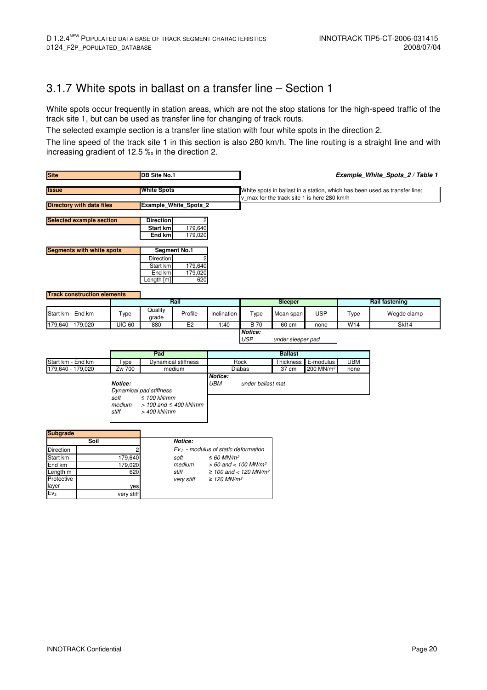### 3.1.7 White spots in ballast on a transfer line – Section 1

White spots occur frequently in station areas, which are not the stop stations for the high-speed traffic of the track site 1, but can be used as transfer line for changing of track routs.

The selected example section is a transfer line station with four white spots in the direction 2.

The line speed of the track site 1 in this section is also 280 km/h. The line routing is a straight line and with increasing gradient of 12.5 ‰ in the direction 2.

| <b>Site</b>                        |                                                | <b>DB Site No.1</b>     |                                       |             |                       |                                             |                       |            | Example_White_Spots_2 / Table 1                                            |
|------------------------------------|------------------------------------------------|-------------------------|---------------------------------------|-------------|-----------------------|---------------------------------------------|-----------------------|------------|----------------------------------------------------------------------------|
| <b>Issue</b>                       |                                                | <b>White Spots</b>      |                                       |             |                       | v max for the track site 1 is here 280 km/h |                       |            | White spots in ballast in a station, which has been used as transfer line; |
| <b>Directory with data files</b>   |                                                |                         | <b>Example White Spots 2</b>          |             |                       |                                             |                       |            |                                                                            |
|                                    |                                                |                         |                                       |             |                       |                                             |                       |            |                                                                            |
| <b>Selected example section</b>    |                                                | <b>Direction</b>        |                                       |             |                       |                                             |                       |            |                                                                            |
|                                    |                                                | Start km                | 179,640                               |             |                       |                                             |                       |            |                                                                            |
|                                    |                                                | End km                  | 179,020                               |             |                       |                                             |                       |            |                                                                            |
| <b>Segments with white spots</b>   |                                                |                         | <b>Segment No.1</b>                   |             |                       |                                             |                       |            |                                                                            |
|                                    |                                                | Direction               |                                       |             |                       |                                             |                       |            |                                                                            |
|                                    |                                                | Start km                | 179,640                               |             |                       |                                             |                       |            |                                                                            |
|                                    |                                                | End km                  | 179,020                               |             |                       |                                             |                       |            |                                                                            |
|                                    |                                                | Length [m]              | 620                                   |             |                       |                                             |                       |            |                                                                            |
|                                    |                                                |                         |                                       |             |                       |                                             |                       |            |                                                                            |
| <b>Track construction elements</b> |                                                |                         |                                       |             |                       |                                             |                       |            |                                                                            |
|                                    |                                                |                         | Rail                                  |             |                       | Sleeper                                     |                       |            | <b>Rail fastening</b>                                                      |
| Start km - End km                  | Type                                           | Quality<br>grade        | Profile                               | Inclination | Type                  | Mean span                                   | <b>USP</b>            | Type       | Wegde clamp                                                                |
| 179,640 - 179,020                  | <b>UIC 60</b>                                  | 880                     | E <sub>2</sub>                        | 1:40        | <b>B</b> 70           | 60 cm                                       | none                  | W14        | SkI14                                                                      |
|                                    |                                                |                         |                                       |             | Notice:<br><b>USP</b> | under sleeper pad                           |                       |            |                                                                            |
|                                    |                                                | Pad                     |                                       |             |                       | <b>Ballast</b>                              |                       |            |                                                                            |
| Start km - End km                  | Type                                           |                         | <b>Dynamical stiffness</b>            |             | Rock                  | Thickness                                   | E-modulus             | <b>UBM</b> |                                                                            |
| 179,640 - 179,020                  | Zw 700                                         |                         | medium                                |             | <b>Diabas</b>         | 37 cm                                       | 200 MN/m <sup>2</sup> | none       |                                                                            |
|                                    |                                                |                         |                                       | Notice:     |                       |                                             |                       |            |                                                                            |
| <b>UBM</b><br>Notice:              |                                                |                         |                                       |             | under ballast mat     |                                             |                       |            |                                                                            |
|                                    |                                                | Dynamical pad stiffness |                                       |             |                       |                                             |                       |            |                                                                            |
|                                    | soft                                           | $\leq 100$ kN/mm        |                                       |             |                       |                                             |                       |            |                                                                            |
|                                    | medium<br>stiff                                | > 400 kN/mm             | $> 100$ and $\leq 400$ kN/mm          |             |                       |                                             |                       |            |                                                                            |
|                                    |                                                |                         |                                       |             |                       |                                             |                       |            |                                                                            |
|                                    |                                                |                         |                                       |             |                       |                                             |                       |            |                                                                            |
| <b>Subgrade</b>                    |                                                |                         |                                       |             |                       |                                             |                       |            |                                                                            |
| Soil                               |                                                |                         | Notice:                               |             |                       |                                             |                       |            |                                                                            |
| Direction                          |                                                |                         | $Ev2$ - modulus of static deformation |             |                       |                                             |                       |            |                                                                            |
| Start km                           | 179.640<br>soft<br>$\leq 60$ MN/m <sup>2</sup> |                         |                                       |             |                       |                                             |                       |            |                                                                            |

|                  | Soil       | Notice:    |                                        |
|------------------|------------|------------|----------------------------------------|
| <b>Direction</b> |            |            | $Ev2$ - modulus of static deformation  |
| Start km         | 179,640    | soft       | $\leq 60$ MN/m <sup>2</sup>            |
| End km           | 179,020    | medium     | $> 60$ and $< 100$ MN/m <sup>2</sup>   |
| Length m         | 620        | stiff      | $\geq$ 100 and < 120 MN/m <sup>2</sup> |
| Protective       |            | very stiff | $\geq$ 120 MN/m <sup>2</sup>           |
| layer            | yes        |            |                                        |
| Ev <sub>2</sub>  | very stiff |            |                                        |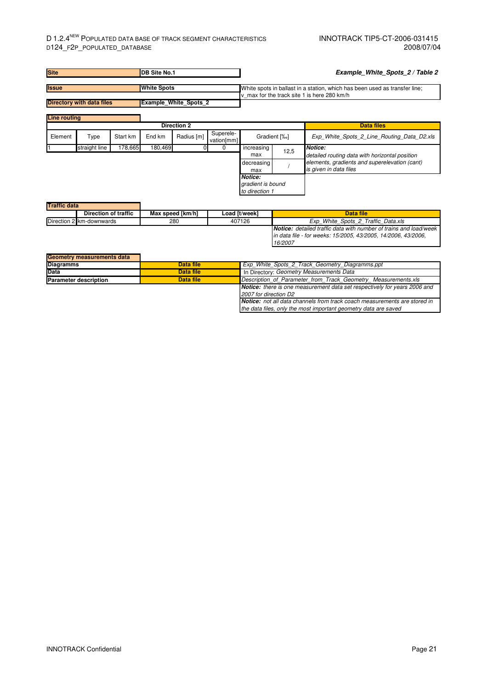| <b>Site</b>         |                                  |          | <b>DB Site No.1</b> |                              |                         |                                                |      | Example White Spots 2 / Table 2                                                                                           |
|---------------------|----------------------------------|----------|---------------------|------------------------------|-------------------------|------------------------------------------------|------|---------------------------------------------------------------------------------------------------------------------------|
| <b>Issue</b>        |                                  |          | <b>White Spots</b>  |                              |                         |                                                |      | White spots in ballast in a station, which has been used as transfer line;<br>v max for the track site 1 is here 280 km/h |
|                     | <b>Directory with data files</b> |          |                     | <b>Example White Spots 2</b> |                         |                                                |      |                                                                                                                           |
| <b>Line routing</b> |                                  |          |                     |                              |                         |                                                |      |                                                                                                                           |
|                     |                                  |          |                     | <b>Direction 2</b>           |                         |                                                |      | <b>Data files</b>                                                                                                         |
| Element             | Type                             | Start km | End km              | Radius [m]                   | Superele-<br>vation[mm] | Gradient [%]                                   |      | Exp White Spots 2 Line Routing Data D2.xls                                                                                |
|                     | straight line                    | 178,665  | 180,469             |                              | 0                       | increasing<br>max                              | 12,5 | Notice:<br>detailed routing data with horizontal position                                                                 |
|                     |                                  |          |                     |                              |                         | decreasing<br>max                              |      | elements, gradients and superelevation (cant)<br>is given in data files                                                   |
|                     |                                  |          |                     |                              |                         | Notice:<br>gradient is bound<br>to direction 1 |      |                                                                                                                           |
| <b>Traffic data</b> |                                  |          |                     |                              |                         |                                                |      |                                                                                                                           |

| THAIR UAIA |                          |                  |               |                                                                          |
|------------|--------------------------|------------------|---------------|--------------------------------------------------------------------------|
|            | Direction of traffic     | Max speed [km/h] | Load [t/week] | Data file                                                                |
|            | Direction 2 km-downwards | 280              | 407126        | Exp White Spots 2 Traffic Data.xls                                       |
|            |                          |                  |               | <b>Notice:</b> detailed traffic data with number of trains and load/week |
|            |                          |                  |               | lin data file - for weeks: 15/2005, 43/2005, 14/2006, 43/2006,           |
|            |                          |                  |               | 16/2007                                                                  |

| Geometry measurements data   |           |                                                                                  |
|------------------------------|-----------|----------------------------------------------------------------------------------|
| <b>Diagramms</b>             | Data file | Exp White Spots 2 Track Geometry Diagramms.ppt                                   |
| <b>Data</b>                  | Data file | In Directory: Geometry Measurements Data                                         |
| <b>Parameter description</b> | Data file | Description of Parameter from Track Geometry Measurements.xls                    |
|                              |           | <b>Notice:</b> there is one measurement data set respectively for years 2006 and |
|                              |           | 2007 for direction D2                                                            |
|                              |           | <b>Notice:</b> not all data channels from track coach measurements are stored in |
|                              |           | the data files, only the most important geometry data are saved                  |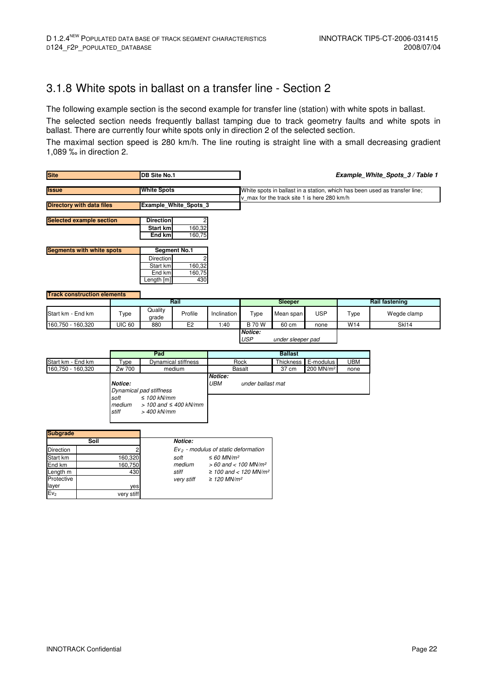$\begin{array}{l|l}\n\text{End km} & \text{160,750} \\
\text{Length m} & \text{430} \\
\text{Length m} & \text{430}\n\end{array}$   $\begin{array}{l} \text{median} & \text{&} \text{60 and} < \text{100 MN/m}^2 \\
\text{with} & \text{2100 and} < \text{120 MN/m}^2\n\end{array}$ 

160,750

430 ye very stiff

### 3.1.8 White spots in ballast on a transfer line - Section 2

The following example section is the second example for transfer line (station) with white spots in ballast.

The selected section needs frequently ballast tamping due to track geometry faults and white spots in ballast. There are currently four white spots only in direction 2 of the selected section.

The maximal section speed is 280 km/h. The line routing is straight line with a small decreasing gradient 1,089 ‰ in direction 2.

| <b>Site</b>                                                                                                      |                                    | <b>DB Site No.1</b>                                        |                              |                       | Example_White_Spots_3 / Table 1                                                                                           |                   |                       |            |                       |
|------------------------------------------------------------------------------------------------------------------|------------------------------------|------------------------------------------------------------|------------------------------|-----------------------|---------------------------------------------------------------------------------------------------------------------------|-------------------|-----------------------|------------|-----------------------|
| <b>Issue</b>                                                                                                     |                                    | <b>White Spots</b>                                         |                              |                       | White spots in ballast in a station, which has been used as transfer line;<br>v max for the track site 1 is here 280 km/h |                   |                       |            |                       |
| <b>Directory with data files</b>                                                                                 |                                    |                                                            | <b>Example White Spots 3</b> |                       |                                                                                                                           |                   |                       |            |                       |
| <b>Selected example section</b>                                                                                  |                                    | <b>Direction</b><br>Start km<br>End km                     | 160,32<br>160,75             |                       |                                                                                                                           |                   |                       |            |                       |
| <b>Segments with white spots</b>                                                                                 |                                    |                                                            | <b>Segment No.1</b>          |                       |                                                                                                                           |                   |                       |            |                       |
|                                                                                                                  |                                    | Direction<br>Start km<br>End km<br>Length [m]              | 160,32<br>160,75<br>430      |                       |                                                                                                                           |                   |                       |            |                       |
| <b>Track construction elements</b>                                                                               |                                    |                                                            | Rail                         |                       |                                                                                                                           | Sleeper           |                       |            | <b>Rail fastening</b> |
|                                                                                                                  |                                    | Quality                                                    |                              |                       |                                                                                                                           |                   |                       |            |                       |
| Start km - End km                                                                                                | Type                               | grade                                                      | Profile                      | Inclination           | Type                                                                                                                      | Mean span         | <b>USP</b>            | Type       | Wegde clamp           |
| 160,750 - 160,320                                                                                                | <b>UIC 60</b>                      | 880                                                        | E2                           | 1:40                  | <b>B</b> 70 W                                                                                                             | 60 cm             | none                  | W14        | <b>SkI14</b>          |
|                                                                                                                  |                                    |                                                            |                              |                       | Notice:<br><b>USP</b>                                                                                                     | under sleeper pad |                       |            |                       |
|                                                                                                                  |                                    | Pad                                                        |                              |                       |                                                                                                                           | <b>Ballast</b>    |                       |            |                       |
| Start km - End km                                                                                                | Type                               |                                                            | Dynamical stiffness          |                       | Rock                                                                                                                      | Thickness         | E-modulus             | <b>UBM</b> |                       |
| 160,750 - 160,320                                                                                                | Zw 700                             |                                                            | medium                       |                       | <b>Basalt</b>                                                                                                             | 37 cm             | 200 MN/m <sup>2</sup> | none       |                       |
|                                                                                                                  | Notice:<br>soft<br>medium<br>stiff | Dynamical pad stiffness<br>$\leq 100$ kN/mm<br>> 400 kN/mm | $> 100$ and $\leq 400$ kN/mm | Notice:<br><b>UBM</b> | under ballast mat                                                                                                         |                   |                       |            |                       |
| <b>Subgrade</b><br>Soil                                                                                          |                                    |                                                            | Notice:                      |                       |                                                                                                                           |                   |                       |            |                       |
| $Ev2$ - modulus of static deformation<br>Direction<br>Start km<br>160,320<br>soft<br>$\leq 60$ MN/m <sup>2</sup> |                                    |                                                            |                              |                       |                                                                                                                           |                   |                       |            |                       |

stiff  $≥ 100$  and < 120 MN/m<sup>2</sup><br>very stiff  $≥ 120$  MN/m<sup>2</sup>

 $\geq 120$  MN/m<sup>2</sup>

| <b>INNOTRACK Confidential</b> | Page 22 |
|-------------------------------|---------|

**Protective** layer

 $Ev<sub>2</sub>$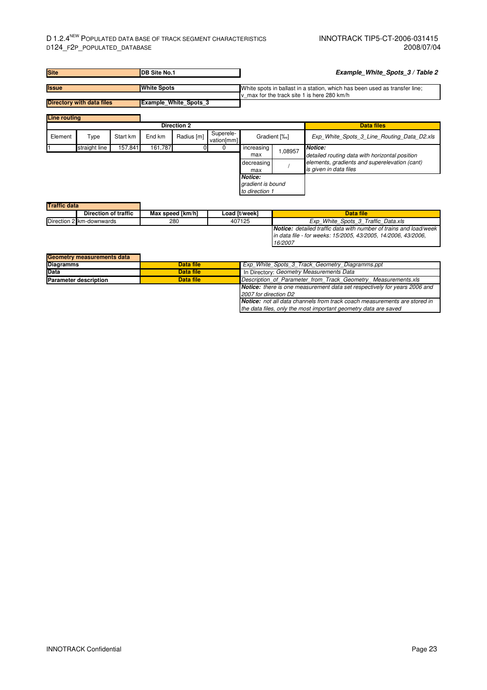| <b>Site</b>                      |               | <b>DB Site No.1</b> |                    |                       | Example White Spots 3 / Table 2 |                                                                                                                           |         |                                                                         |  |
|----------------------------------|---------------|---------------------|--------------------|-----------------------|---------------------------------|---------------------------------------------------------------------------------------------------------------------------|---------|-------------------------------------------------------------------------|--|
| <b>Issue</b>                     |               |                     | <b>White Spots</b> |                       |                                 | White spots in ballast in a station, which has been used as transfer line;<br>v max for the track site 1 is here 280 km/h |         |                                                                         |  |
| <b>Directory with data files</b> |               |                     |                    | Example_White_Spots_3 |                                 |                                                                                                                           |         |                                                                         |  |
| <b>Line routing</b>              |               |                     |                    |                       |                                 |                                                                                                                           |         |                                                                         |  |
|                                  |               |                     |                    | <b>Direction 2</b>    |                                 |                                                                                                                           |         | <b>Data files</b>                                                       |  |
| Element                          | Type          | Start km            | End km             | Radius [m]            | Superele-<br>vation[mm]         | Gradient [%]                                                                                                              |         | Exp White Spots 3 Line Routing Data D2.xls                              |  |
|                                  | straight line | 157,841             | 161,787            |                       | 0                               | increasing<br>max                                                                                                         | 1,08957 | Notice:<br>detailed routing data with horizontal position               |  |
|                                  |               |                     |                    |                       |                                 | decreasing<br>max                                                                                                         |         | elements, gradients and superelevation (cant)<br>is given in data files |  |
|                                  |               |                     |                    |                       |                                 | Notice:<br>gradient is bound<br>to direction 1                                                                            |         |                                                                         |  |
| <b>Traffic data</b>              |               |                     |                    |                       |                                 |                                                                                                                           |         |                                                                         |  |

| n aniv uata |                             |                  |               |                                                                          |
|-------------|-----------------------------|------------------|---------------|--------------------------------------------------------------------------|
|             | <b>Direction of traffic</b> | Max speed [km/h] | Load [t/week] | Data file                                                                |
|             | Direction 2 km-downwards    | 280              | 407125        | Exp White Spots 3 Traffic Data.xls                                       |
|             |                             |                  |               | <b>Notice:</b> detailed traffic data with number of trains and load/week |
|             |                             |                  |               | lin data file - for weeks: 15/2005, 43/2005, 14/2006, 43/2006,           |
|             |                             |                  |               | 16/2007                                                                  |

| Geometry measurements data   |                                                       |                                                                                  |  |  |
|------------------------------|-------------------------------------------------------|----------------------------------------------------------------------------------|--|--|
| <b>Diagramms</b>             | Data file                                             | Exp White Spots 3 Track Geometry Diagramms.ppt                                   |  |  |
| <b>Data</b>                  | Data file<br>In Directory: Geometry Measurements Data |                                                                                  |  |  |
| <b>Parameter description</b> | Data file                                             | Description of Parameter from Track Geometry Measurements.xls                    |  |  |
|                              |                                                       | <b>Notice:</b> there is one measurement data set respectively for years 2006 and |  |  |
|                              |                                                       | 2007 for direction D2                                                            |  |  |
|                              |                                                       | <b>Notice:</b> not all data channels from track coach measurements are stored in |  |  |
|                              |                                                       | the data files, only the most important geometry data are saved                  |  |  |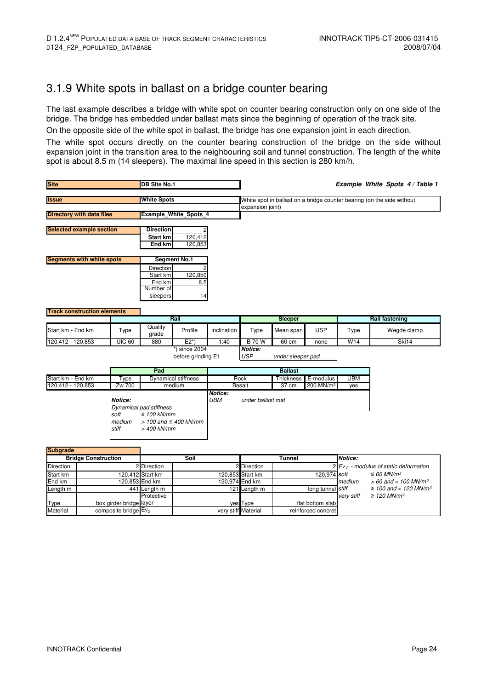### 3.1.9 White spots in ballast on a bridge counter bearing

The last example describes a bridge with white spot on counter bearing construction only on one side of the bridge. The bridge has embedded under ballast mats since the beginning of operation of the track site.

On the opposite side of the white spot in ballast, the bridge has one expansion joint in each direction.

The white spot occurs directly on the counter bearing construction of the bridge on the side without expansion joint in the transition area to the neighbouring soil and tunnel construction. The length of the white spot is about 8.5 m (14 sleepers). The maximal line speed in this section is 280 km/h.

| <b>Site</b><br>DB Site No.1                               |                            |                                  |                                                                 |                                        |                       |                                                                                            | Example_White_Spots_4 / Table 1 |                       |                                                     |                                    |  |
|-----------------------------------------------------------|----------------------------|----------------------------------|-----------------------------------------------------------------|----------------------------------------|-----------------------|--------------------------------------------------------------------------------------------|---------------------------------|-----------------------|-----------------------------------------------------|------------------------------------|--|
| <b>Issue</b>                                              |                            |                                  | <b>White Spots</b>                                              |                                        |                       | White spot in ballast on a bridge counter bearing (on the side without<br>expansion joint) |                                 |                       |                                                     |                                    |  |
| <b>Directory with data files</b><br>Example White Spots 4 |                            |                                  |                                                                 |                                        |                       |                                                                                            |                                 |                       |                                                     |                                    |  |
| <b>Selected example section</b>                           |                            |                                  | <b>Direction</b><br><b>Start km</b><br>End km                   | 120,412<br>120,853                     |                       |                                                                                            |                                 |                       |                                                     |                                    |  |
| <b>Segments with white spots</b>                          |                            |                                  |                                                                 | <b>Segment No.1</b>                    |                       |                                                                                            |                                 |                       |                                                     |                                    |  |
|                                                           |                            |                                  | Direction<br>Start km<br>End km<br>Number of<br>sleepers        | 120,850<br>8,5<br>14                   |                       |                                                                                            |                                 |                       |                                                     |                                    |  |
| <b>Track construction elements</b>                        |                            |                                  |                                                                 |                                        |                       |                                                                                            |                                 |                       |                                                     |                                    |  |
|                                                           |                            |                                  | Rail                                                            |                                        |                       |                                                                                            | Sleeper                         |                       |                                                     | <b>Rail fastening</b>              |  |
| Start km - End km                                         |                            | Type                             | Quality<br>grade                                                | Profile                                | Inclination           | Type                                                                                       | Mean span                       | <b>USP</b>            | Type                                                | Wegde clamp                        |  |
| 120,412 - 120,853                                         |                            | <b>UIC 60</b>                    | 880                                                             | $E2^*$                                 | 1:40                  | <b>B</b> 70 W                                                                              | 60 cm                           | none                  | W14                                                 | <b>SkI14</b>                       |  |
|                                                           |                            |                                  |                                                                 | $*$ ) since 2004<br>before grinding E1 |                       | Notice:<br><b>USP</b>                                                                      | under sleeper pad               |                       |                                                     |                                    |  |
|                                                           |                            |                                  | Pad                                                             |                                        |                       |                                                                                            | <b>Ballast</b>                  |                       |                                                     |                                    |  |
| Start km - End km                                         |                            | Type                             |                                                                 | <b>Dynamical stiffness</b>             |                       | Rock                                                                                       | Thickness                       | E-modulus             | <b>UBM</b>                                          |                                    |  |
| 120,412 - 120,853                                         |                            | Zw 700<br>Notice:                | Dynamical pad stiffness                                         | medium                                 | Notice:<br><b>UBM</b> | <b>Basalt</b><br>under ballast mat                                                         | 37 cm                           | 200 MN/m <sup>2</sup> | yes                                                 |                                    |  |
|                                                           |                            | soft<br>medium<br>stiff          | $\leq 100$ kN/mm<br>$>$ 100 and $\leq$ 400 kN/mm<br>> 400 kN/mm |                                        |                       |                                                                                            |                                 |                       |                                                     |                                    |  |
| <b>Subgrade</b>                                           |                            |                                  |                                                                 |                                        |                       |                                                                                            |                                 |                       |                                                     |                                    |  |
|                                                           | <b>Bridge Construction</b> |                                  |                                                                 | Soil                                   |                       |                                                                                            | <b>Tunnel</b>                   |                       | Notice:                                             |                                    |  |
| Direction                                                 | $\overline{2}$             |                                  | <b>Direction</b>                                                |                                        |                       | <b>Direction</b>                                                                           |                                 |                       | $2$ Ev <sub>2</sub> - modulus of static deformation |                                    |  |
| Start km                                                  |                            |                                  | 120,412 Start km                                                |                                        |                       | 120,853 Start km                                                                           |                                 | 120,974 soft          |                                                     | $\leq 60$ MN/m <sup>2</sup>        |  |
| End km                                                    |                            |                                  | 120,853 End km                                                  |                                        |                       | 120,974 End km                                                                             |                                 |                       | medium                                              | $> 60$ and < 100 MN/m <sup>2</sup> |  |
| Length m                                                  |                            |                                  | 441 Length m                                                    |                                        | 121                   | Length m                                                                                   |                                 | long tunnel           | stiff                                               | ≥ 100 and < 120 MN/m <sup>2</sup>  |  |
|                                                           |                            |                                  | Protective                                                      |                                        |                       |                                                                                            |                                 |                       | very stiff                                          | $\geq$ 120 MN/m <sup>2</sup>       |  |
| <b>Type</b>                                               |                            | box girder bridge layer          |                                                                 |                                        |                       | yes Type                                                                                   |                                 | flat bottom slab      |                                                     |                                    |  |
| <b>Material</b>                                           |                            | composite bridge Ev <sub>2</sub> |                                                                 |                                        |                       | very stiff Material                                                                        |                                 | reinforced concret    |                                                     |                                    |  |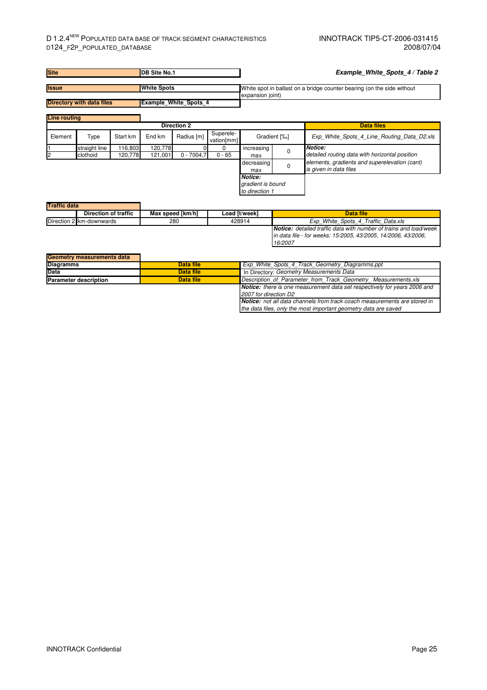| <b>Site</b><br><b>DB Site No.1</b> |                                  |                    | Example_White_Spots_4 / Table 2 |                              |                         |                                                                                            |          |                                                                         |
|------------------------------------|----------------------------------|--------------------|---------------------------------|------------------------------|-------------------------|--------------------------------------------------------------------------------------------|----------|-------------------------------------------------------------------------|
| <b>Issue</b>                       |                                  |                    | <b>White Spots</b>              |                              |                         | White spot in ballast on a bridge counter bearing (on the side without<br>expansion joint) |          |                                                                         |
|                                    | <b>Directory with data files</b> |                    |                                 | <b>Example White Spots 4</b> |                         |                                                                                            |          |                                                                         |
| <b>Line routing</b>                |                                  |                    |                                 |                              |                         |                                                                                            |          |                                                                         |
|                                    |                                  |                    |                                 | <b>Direction 2</b>           |                         |                                                                                            |          | <b>Data files</b>                                                       |
| Element                            | Type                             | Start km           | End km                          | Radius [m]                   | Superele-<br>vation[mm] | Gradient [%]                                                                               |          | Exp White Spots 4 Line Routing Data D2.xls                              |
|                                    | straight line<br>clothoid        | 116,803<br>120,778 | 120,778<br>121,001              | $0 - 7004,7$                 | 0<br>$0 - 65$           | increasing<br>max                                                                          | $\Omega$ | Notice:<br>detailed routing data with horizontal position               |
|                                    |                                  |                    |                                 |                              |                         | decreasing<br>max                                                                          | $\Omega$ | elements, gradients and superelevation (cant)<br>is given in data files |
|                                    |                                  |                    |                                 |                              |                         | <b>Notice:</b><br>gradient is bound<br>to direction 1                                      |          |                                                                         |
| <b>Traffic data</b>                |                                  |                    |                                 |                              |                         |                                                                                            |          |                                                                         |

| THAIR UAIA |                          |                  |               |                                                                          |
|------------|--------------------------|------------------|---------------|--------------------------------------------------------------------------|
|            | Direction of traffic     | Max speed [km/h] | Load [t/week] | Data file                                                                |
|            | Direction 2 km-downwards | 280              | 428914        | Exp White Spots 4 Traffic Data.xls                                       |
|            |                          |                  |               | <b>Notice:</b> detailed traffic data with number of trains and load/week |
|            |                          |                  |               | lin data file - for weeks: 15/2005, 43/2005, 14/2006, 43/2006,           |
|            |                          |                  |               | 16/2007                                                                  |

| Geometry measurements data   |           |                                                                                  |  |  |
|------------------------------|-----------|----------------------------------------------------------------------------------|--|--|
| <b>Diagramms</b>             | Data file | Exp White Spots 4 Track Geometry Diagramms.ppt                                   |  |  |
| <b>Data</b>                  | Data file | In Directory: Geometry Measurements Data                                         |  |  |
| <b>Parameter description</b> | Data file | Description of Parameter from Track Geometry Measurements.xls                    |  |  |
|                              |           | <b>Notice:</b> there is one measurement data set respectively for years 2006 and |  |  |
|                              |           | 2007 for direction D2                                                            |  |  |
|                              |           | <b>Notice:</b> not all data channels from track coach measurements are stored in |  |  |
|                              |           | the data files, only the most important geometry data are saved                  |  |  |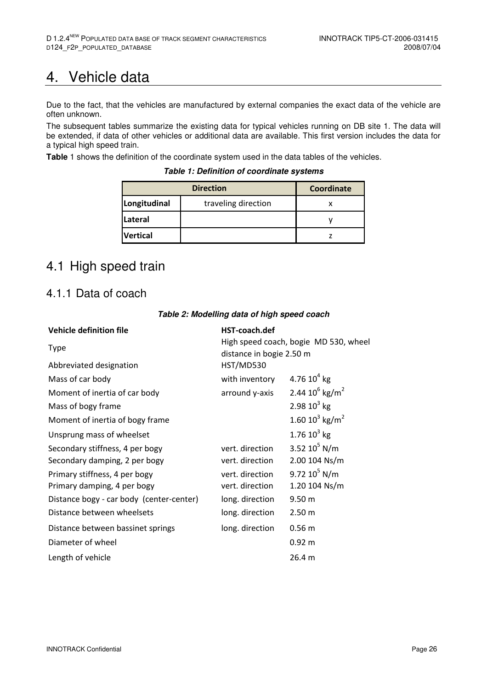## 4. Vehicle data

Due to the fact, that the vehicles are manufactured by external companies the exact data of the vehicle are often unknown.

The subsequent tables summarize the existing data for typical vehicles running on DB site 1. The data will be extended, if data of other vehicles or additional data are available. This first version includes the data for a typical high speed train.

**Table** 1 shows the definition of the coordinate system used in the data tables of the vehicles.

**Table 1: Definition of coordinate systems** 

|                 | <b>Direction</b>    |  |  |  |
|-----------------|---------------------|--|--|--|
| Longitudinal    | traveling direction |  |  |  |
| <b>Lateral</b>  |                     |  |  |  |
| <b>Vertical</b> |                     |  |  |  |

## 4.1 High speed train

#### 4.1.1 Data of coach

| <b>Vehicle definition file</b>           | HST-coach.def                         |                               |  |  |  |
|------------------------------------------|---------------------------------------|-------------------------------|--|--|--|
| <b>Type</b>                              | High speed coach, bogie MD 530, wheel |                               |  |  |  |
|                                          | distance in bogie 2.50 m              |                               |  |  |  |
| Abbreviated designation                  | HST/MD530                             |                               |  |  |  |
| Mass of car body                         | with inventory                        | 4.76 $10^4$ kg                |  |  |  |
| Moment of inertia of car body            | arround y-axis                        | 2.44 $10^6$ kg/m <sup>2</sup> |  |  |  |
| Mass of bogy frame                       |                                       | 2.98 $10^3$ kg                |  |  |  |
| Moment of inertia of bogy frame          |                                       | 1.60 $10^3$ kg/m <sup>2</sup> |  |  |  |
| Unsprung mass of wheelset                |                                       | 1.76 $10^3$ kg                |  |  |  |
| Secondary stiffness, 4 per bogy          | vert. direction                       | 3.52 $10^5$ N/m               |  |  |  |
| Secondary damping, 2 per bogy            | vert. direction                       | 2.00 104 Ns/m                 |  |  |  |
| Primary stiffness, 4 per bogy            | vert. direction                       | 9.72 $10^5$ N/m               |  |  |  |
| Primary damping, 4 per bogy              | vert. direction                       | 1.20 104 Ns/m                 |  |  |  |
| Distance bogy - car body (center-center) | long. direction                       | 9.50 <sub>m</sub>             |  |  |  |
| Distance between wheelsets               | long. direction                       | 2.50 m                        |  |  |  |
| Distance between bassinet springs        | long. direction                       | 0.56 m                        |  |  |  |
| Diameter of wheel                        |                                       | $0.92 \; m$                   |  |  |  |
| Length of vehicle                        |                                       | 26.4 m                        |  |  |  |

#### **Table 2: Modelling data of high speed coach**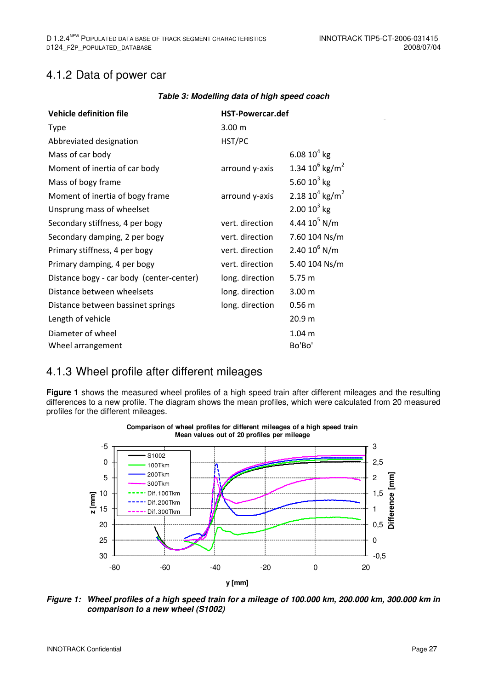#### 4.1.2 Data of power car

| <b>Vehicle definition file</b>           | <b>HST-Powercar.def</b> |                               |  |
|------------------------------------------|-------------------------|-------------------------------|--|
| <b>Type</b>                              | 3.00 <sub>m</sub>       |                               |  |
| Abbreviated designation                  | HST/PC                  |                               |  |
| Mass of car body                         |                         | 6.08 $10^4$ kg                |  |
| Moment of inertia of car body            | arround y-axis          | 1.34 $10^6$ kg/m <sup>2</sup> |  |
| Mass of bogy frame                       |                         | 5.60 $10^3$ kg                |  |
| Moment of inertia of bogy frame          | arround y-axis          | 2.18 $10^4$ kg/m <sup>2</sup> |  |
| Unsprung mass of wheelset                |                         | $2.0010^{3}$ kg               |  |
| Secondary stiffness, 4 per bogy          | vert. direction         | 4.44 $10^5$ N/m               |  |
| Secondary damping, 2 per bogy            | vert. direction         | 7.60 104 Ns/m                 |  |
| Primary stiffness, 4 per bogy            | vert. direction         | $2.4010^{6}$ N/m              |  |
| Primary damping, 4 per bogy              | vert. direction         | 5.40 104 Ns/m                 |  |
| Distance bogy - car body (center-center) | long. direction         | 5.75 m                        |  |
| Distance between wheelsets               | long. direction         | 3.00 <sub>m</sub>             |  |
| Distance between bassinet springs        | long. direction         | 0.56 m                        |  |
| Length of vehicle                        |                         | 20.9 <sub>m</sub>             |  |
| Diameter of wheel                        |                         | 1.04 <sub>m</sub>             |  |
| Wheel arrangement                        |                         | Bo'Bo'                        |  |

#### **Table 3: Modelling data of high speed coach**

### 4.1.3 Wheel profile after different mileages

**Figure 1** shows the measured wheel profiles of a high speed train after different mileages and the resulting differences to a new profile. The diagram shows the mean profiles, which were calculated from 20 measured profiles for the different mileages.



**Figure 1: Wheel profiles of a high speed train for a mileage of 100.000 km, 200.000 km, 300.000 km in comparison to a new wheel (S1002)**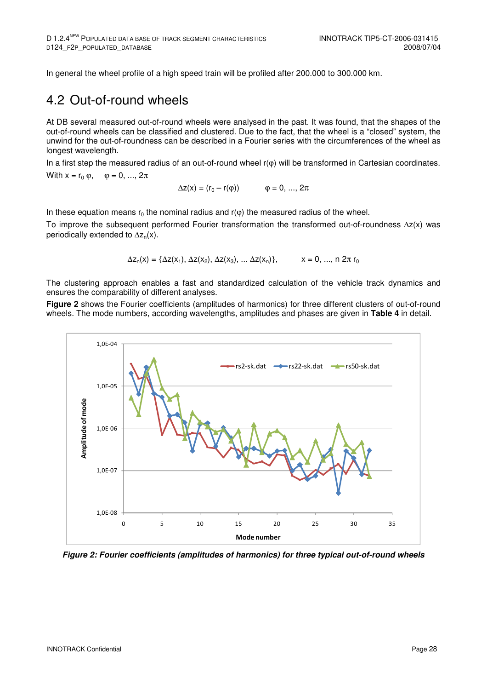In general the wheel profile of a high speed train will be profiled after 200.000 to 300.000 km.

### 4.2 Out-of-round wheels

At DB several measured out-of-round wheels were analysed in the past. It was found, that the shapes of the out-of-round wheels can be classified and clustered. Due to the fact, that the wheel is a "closed" system, the unwind for the out-of-roundness can be described in a Fourier series with the circumferences of the wheel as longest wavelength.

In a first step the measured radius of an out-of-round wheel r( $\varphi$ ) will be transformed in Cartesian coordinates.

With 
$$
x = r_0 \varphi
$$
,  $\varphi = 0, ..., 2\pi$ 

$$
\Delta z(x) = (r_0 - r(\varphi))
$$
  $\varphi = 0, ..., 2\pi$ 

In these equation means  $r_0$  the nominal radius and  $r(\varphi)$  the measured radius of the wheel.

To improve the subsequent performed Fourier transformation the transformed out-of-roundness ∆z(x) was periodically extended to  $\Delta z_n(x)$ .

$$
\Delta z_n(x) = \{ \Delta z(x_1), \, \Delta z(x_2), \, \Delta z(x_3), \, ... \, \Delta z(x_n) \}, \hspace{1cm} x = 0, \, ... , \, n \; 2 \pi \, r_0
$$

The clustering approach enables a fast and standardized calculation of the vehicle track dynamics and ensures the comparability of different analyses.

**Figure 2** shows the Fourier coefficients (amplitudes of harmonics) for three different clusters of out-of-round wheels. The mode numbers, according wavelengths, amplitudes and phases are given in **Table 4** in detail.



**Figure 2: Fourier coefficients (amplitudes of harmonics) for three typical out-of-round wheels**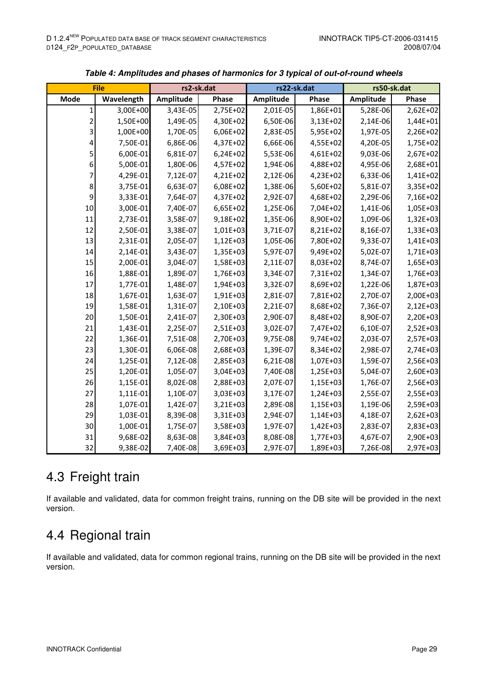| <b>File</b>      |            | rs2-sk.dat |            |           | rs22-sk.dat | rs50-sk.dat |          |
|------------------|------------|------------|------------|-----------|-------------|-------------|----------|
| Mode             | Wavelength | Amplitude  | Phase      | Amplitude | Phase       | Amplitude   | Phase    |
| 1                | 3,00E+00   | 3,43E-05   | 2,75E+02   | 2,01E-05  | 1,86E+01    | 5,28E-06    | 2,62E+02 |
| 2                | 1,50E+00   | 1,49E-05   | 4,30E+02   | 6,50E-06  | 3,13E+02    | 2,14E-06    | 1,44E+01 |
| 3                | 1,00E+00   | 1,70E-05   | 6,06E+02   | 2,83E-05  | 5,95E+02    | 1,97E-05    | 2,26E+02 |
| 4                | 7,50E-01   | 6,86E-06   | 4,37E+02   | 6,66E-06  | 4,55E+02    | 4,20E-05    | 1,75E+02 |
| 5                | 6,00E-01   | 6,81E-07   | $6,24E+02$ | 5,53E-06  | 4,61E+02    | 9,03E-06    | 2,67E+02 |
| $\boldsymbol{6}$ | 5,00E-01   | 1,80E-06   | 4,57E+02   | 1,94E-06  | 4,88E+02    | 4,95E-06    | 2,68E+01 |
| 7                | 4,29E-01   | 7,12E-07   | 4,21E+02   | 2,12E-06  | 4,23E+02    | 6,33E-06    | 1,41E+02 |
| 8                | 3,75E-01   | 6,63E-07   | 6,08E+02   | 1,38E-06  | 5,60E+02    | 5,81E-07    | 3,35E+02 |
| 9                | 3,33E-01   | 7,64E-07   | 4,37E+02   | 2,92E-07  | 4,68E+02    | 2,29E-06    | 7,16E+02 |
| 10               | 3,00E-01   | 7,40E-07   | 6,65E+02   | 1,25E-06  | 7,04E+02    | 1,41E-06    | 1,05E+03 |
| 11               | 2,73E-01   | 3,58E-07   | 9,18E+02   | 1,35E-06  | 8,90E+02    | 1,09E-06    | 1,32E+03 |
| 12               | 2,50E-01   | 3,38E-07   | 1,01E+03   | 3,71E-07  | 8,21E+02    | 8,16E-07    | 1,33E+03 |
| 13               | 2,31E-01   | 2,05E-07   | 1,12E+03   | 1,05E-06  | 7,80E+02    | 9,33E-07    | 1,41E+03 |
| 14               | 2,14E-01   | 3,43E-07   | 1,35E+03   | 5,97E-07  | 9,49E+02    | 5,02E-07    | 1,71E+03 |
| 15               | 2,00E-01   | 3,04E-07   | 1,58E+03   | 2,11E-07  | 8,03E+02    | 8,74E-07    | 1,65E+03 |
| 16               | 1,88E-01   | 1,89E-07   | 1,76E+03   | 3,34E-07  | 7,31E+02    | 1,34E-07    | 1,76E+03 |
| 17               | 1,77E-01   | 1,48E-07   | 1,94E+03   | 3,32E-07  | 8,69E+02    | 1,22E-06    | 1,87E+03 |
| 18               | 1,67E-01   | 1,63E-07   | 1,91E+03   | 2,81E-07  | 7,81E+02    | 2,70E-07    | 2,00E+03 |
| 19               | 1,58E-01   | 1,31E-07   | 2,10E+03   | 2,21E-07  | 8,68E+02    | 7,36E-07    | 2,12E+03 |
| 20               | 1,50E-01   | 2,41E-07   | 2,30E+03   | 2,90E-07  | 8,48E+02    | 8,90E-07    | 2,20E+03 |
| 21               | 1,43E-01   | 2,25E-07   | 2,51E+03   | 3,02E-07  | 7,47E+02    | 6,10E-07    | 2,52E+03 |
| 22               | 1,36E-01   | 7,51E-08   | 2,70E+03   | 9,75E-08  | 9,74E+02    | 2,03E-07    | 2,57E+03 |
| 23               | 1,30E-01   | 6,06E-08   | 2,68E+03   | 1,39E-07  | 8,34E+02    | 2,98E-07    | 2,74E+03 |
| 24               | 1,25E-01   | 7,12E-08   | 2,85E+03   | 6,21E-08  | 1,07E+03    | 1,59E-07    | 2,56E+03 |
| 25               | 1,20E-01   | 1,05E-07   | 3,04E+03   | 7,40E-08  | 1,25E+03    | 5,04E-07    | 2,60E+03 |
| 26               | 1,15E-01   | 8,02E-08   | 2,88E+03   | 2,07E-07  | 1,15E+03    | 1,76E-07    | 2,56E+03 |
| 27               | 1,11E-01   | 1,10E-07   | 3,03E+03   | 3,17E-07  | 1,24E+03    | 2,55E-07    | 2,55E+03 |
| 28               | 1,07E-01   | 1,42E-07   | 3,21E+03   | 2,89E-08  | 1,15E+03    | 1,19E-06    | 2,59E+03 |
| 29               | 1,03E-01   | 8,39E-08   | 3,31E+03   | 2,94E-07  | 1,14E+03    | 4,18E-07    | 2,62E+03 |
| 30               | 1,00E-01   | 1,75E-07   | 3,58E+03   | 1,97E-07  | 1,42E+03    | 2,83E-07    | 2,83E+03 |
| 31               | 9,68E-02   | 8,63E-08   | 3,84E+03   | 8,08E-08  | 1,77E+03    | 4,67E-07    | 2,90E+03 |
| 32               | 9,38E-02   | 7,40E-08   | 3,69E+03   | 2,97E-07  | 1,89E+03    | 7,26E-08    | 2,97E+03 |

| Table 4: Amplitudes and phases of harmonics for 3 typical of out-of-round wheels |  |  |
|----------------------------------------------------------------------------------|--|--|
|----------------------------------------------------------------------------------|--|--|

## 4.3 Freight train

If available and validated, data for common freight trains, running on the DB site will be provided in the next version.

## 4.4 Regional train

If available and validated, data for common regional trains, running on the DB site will be provided in the next version.